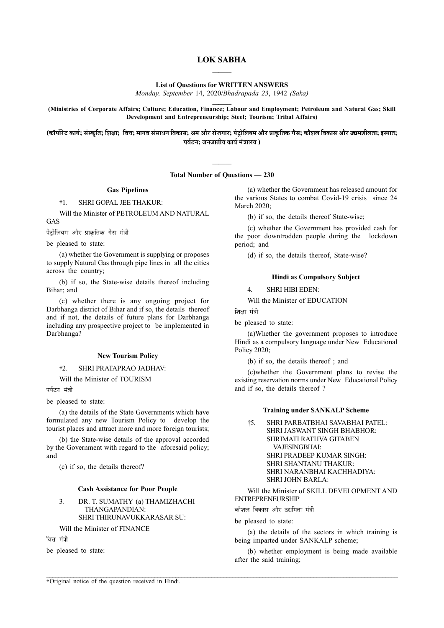# LOK SABHA  $\frac{1}{2}$

List of Questions for WRITTEN ANSWERS

Monday, September 14, 2020/Bhadrapada 23, 1942 (Saka)  $\frac{1}{2}$ 

(Ministries of Corporate Affairs; Culture; Education, Finance; Labour and Employment; Petroleum and Natural Gas; Skill Development and Entrepreneurship; Steel; Tourism; Tribal Affairs)

(कॉर्पोरेट कार्य; संस्कृति; शिक्षा; वित्त; मानव संसाधन विकास; श्रम और रोजगार; पेट्रोलियम और प्राकृतिक गैस; कौशल विकास और उद्यमशीलता; इस्पात; पर्यटन; जनजातीय कार्य मंत्रालय)

> $\frac{1}{2}$ Total Number of Questions — 230

# Gas Pipelines

†1. SHRI GOPAL JEE THAKUR:

Will the Minister of PETROLEUM AND NATURAL GAS

पेट्रोलियम और प्राकृतिक गैस मंत्री

be pleased to state:

(a) whether the Government is supplying or proposes to supply Natural Gas through pipe lines in all the cities across the country;

(b) if so, the State-wise details thereof including Bihar; and

(c) whether there is any ongoing project for Darbhanga district of Bihar and if so, the details thereof and if not, the details of future plans for Darbhanga including any prospective project to be implemented in Darbhanga?

# New Tourism Policy

# †2. SHRI PRATAPRAO JADHAV:

Will the Minister of TOURISM

पर्यटन मंत्री

be pleased to state:

(a) the details of the State Governments which have formulated any new Tourism Policy to develop the tourist places and attract more and more foreign tourists;

(b) the State-wise details of the approval accorded by the Government with regard to the aforesaid policy; and

(c) if so, the details thereof?

# Cash Assistance for Poor People

# 3. DR. T. SUMATHY (a) THAMIZHACHI THANGAPANDIAN: SHRI THIRUNAVUKKARASAR SU:

Will the Minister of FINANCE

वित्त मंत्री

be pleased to state:

(a) whether the Government has released amount for the various States to combat Covid-19 crisis since 24 March 2020;

(b) if so, the details thereof State-wise;

(c) whether the Government has provided cash for the poor downtrodden people during the lockdown period; and

(d) if so, the details thereof, State-wise?

# Hindi as Compulsory Subject

4. SHRI HIBI EDEN:

Will the Minister of EDUCATION

शिक्षा मंत्री

be pleased to state:

(a)Whether the government proposes to introduce Hindi as a compulsory language under New Educational Policy 2020;

(b) if so, the details thereof ; and

(c)whether the Government plans to revise the existing reservation norms under New Educational Policy and if so, the details thereof ?

# Training under SANKALP Scheme

†5. SHRI PARBATBHAI SAVABHAI PATEL: SHRI JASWANT SINGH BHABHOR: SHRIMATI RATHVA GITABEN VAJESINGBHAI: SHRI PRADEEP KUMAR SINGH: SHRI SHANTANU THAKUR: SHRI NARANBHAI KACHHADIYA: SHRI JOHN BARLA:

Will the Minister of SKILL DEVELOPMENT AND ENTREPRENEURSHIP

<u>कौशल विकास और उद्यमिता मंत्री</u>

be pleased to state:

(a) the details of the sectors in which training is being imparted under SANKALP scheme;

(b) whether employment is being made available after the said training;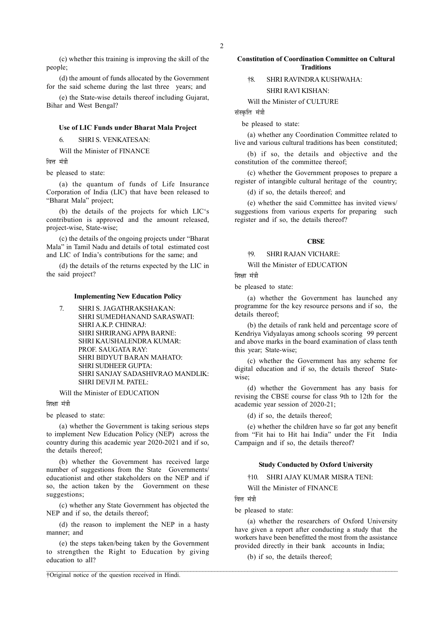(c) whether this training is improving the skill of the people;

(d) the amount of funds allocated by the Government for the said scheme during the last three years; and

(e) the State-wise details thereof including Gujarat, Bihar and West Bengal?

# Use of LIC Funds under Bharat Mala Project

6. SHRI S. VENKATESAN:

Will the Minister of FINANCE

वित्त मंत्री

be pleased to state:

(a) the quantum of funds of Life Insurance Corporation of India (LIC) that have been released to "Bharat Mala" project;

(b) the details of the projects for which LIC's contribution is approved and the amount released, project-wise, State-wise;

(c) the details of the ongoing projects under "Bharat Mala" in Tamil Nadu and details of total estimated cost and LIC of India's contributions for the same; and

(d) the details of the returns expected by the LIC in the said project?

#### Implementing New Education Policy

7. SHRI S. JAGATHRAKSHAKAN: SHRI SUMEDHANAND SARASWATI: SHRI A.K.P. CHINRAJ: SHRI SHRIRANG APPA BARNE: SHRI KAUSHALENDRA KUMAR: PROF. SAUGATA RAY: SHRI BIDYUT BARAN MAHATO: SHRI SUDHEER GUPTA: SHRI SANJAY SADASHIVRAO MANDLIK: SHRI DEVILM PATEL:

#### Will the Minister of EDUCATION

शिक्षा मंत्री

be pleased to state:

(a) whether the Government is taking serious steps to implement New Education Policy (NEP) across the country during this academic year 2020-2021 and if so, the details thereof;

(b) whether the Government has received large number of suggestions from the State Governments/ educationist and other stakeholders on the NEP and if so, the action taken by the Government on these suggestions;

(c) whether any State Government has objected the NEP and if so, the details thereof;

(d) the reason to implement the NEP in a hasty manner; and

(e) the steps taken/being taken by the Government to strengthen the Right to Education by giving education to all?

# Constitution of Coordination Committee on Cultural Traditions

# †8. SHRI RAVINDRA KUSHWAHA: SHRI RAVI KISHAN:

Will the Minister of CULTURE

संस्कृति मंत्री

be pleased to state:

(a) whether any Coordination Committee related to live and various cultural traditions has been constituted;

(b) if so, the details and objective and the constitution of the committee thereof;

(c) whether the Government proposes to prepare a register of intangible cultural heritage of the country;

(d) if so, the details thereof; and

(e) whether the said Committee has invited views/ suggestions from various experts for preparing such register and if so, the details thereof?

# **CBSE**

# †9. SHRI RAJAN VICHARE:

Will the Minister of EDUCATION

शिक्षा मंत्री

be pleased to state:

(a) whether the Government has launched any programme for the key resource persons and if so, the details thereof;

(b) the details of rank held and percentage score of Kendriya Vidyalayas among schools scoring 99 percent and above marks in the board examination of class tenth this year; State-wise;

(c) whether the Government has any scheme for digital education and if so, the details thereof Statewise;

(d) whether the Government has any basis for revising the CBSE course for class 9th to 12th for the academic year session of 2020-21;

(d) if so, the details thereof;

(e) whether the children have so far got any benefit from "Fit hai to Hit hai India" under the Fit India Campaign and if so, the details thereof?

#### Study Conducted by Oxford University

†10. SHRI AJAY KUMAR MISRA TENI:

Will the Minister of FINANCE

वित्त मंत्री

be pleased to state:

(a) whether the researchers of Oxford University have given a report after conducting a study that the workers have been benefitted the most from the assistance provided directly in their bank accounts in India;

(b) if so, the details thereof;

†Original notice of the question received in Hindi.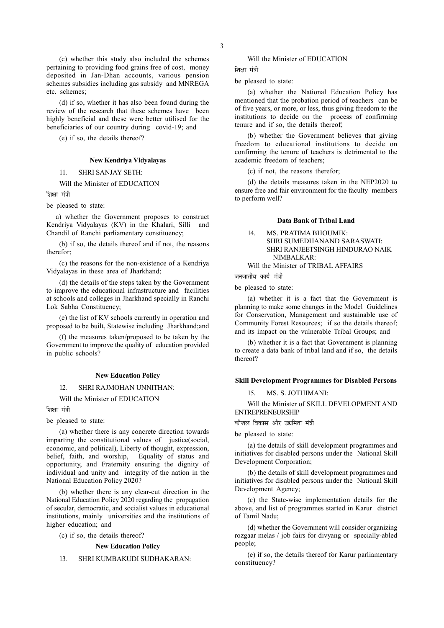(c) whether this study also included the schemes pertaining to providing food grains free of cost, money deposited in Jan-Dhan accounts, various pension schemes subsidies including gas subsidy and MNREGA etc. schemes;

(d) if so, whether it has also been found during the review of the research that these schemes have been highly beneficial and these were better utilised for the beneficiaries of our country during covid-19; and

(e) if so, the details thereof?

# New Kendriya Vidyalayas

# 11. SHRI SANJAY SETH:

Will the Minister of EDUCATION

णिश्ला मंत्री

be pleased to state:

 a) whether the Government proposes to construct Kendriya Vidyalayas (KV) in the Khalari, Silli and Chandil of Ranchi parliamentary constituency;

(b) if so, the details thereof and if not, the reasons therefor;

(c) the reasons for the non-existence of a Kendriya Vidyalayas in these area of Jharkhand;

(d) the details of the steps taken by the Government to improve the educational infrastructure and facilities at schools and colleges in Jharkhand specially in Ranchi Lok Sabha Constituency;

(e) the list of KV schools currently in operation and proposed to be built, Statewise including Jharkhand;and

(f) the measures taken/proposed to be taken by the Government to improve the quality of education provided in public schools?

#### New Education Policy

# 12. SHRI RAJMOHAN UNNITHAN:

Will the Minister of EDUCATION

शिक्षा मंत्री

be pleased to state:

(a) whether there is any concrete direction towards imparting the constitutional values of justice(social, economic, and political), Liberty of thought, expression, belief, faith, and worship, Equality of status and opportunity, and Fraternity ensuring the dignity of individual and unity and integrity of the nation in the National Education Policy 2020?

(b) whether there is any clear-cut direction in the National Education Policy 2020 regarding the propagation of secular, democratic, and socialist values in educational institutions, mainly universities and the institutions of higher education; and

(c) if so, the details thereof?

#### New Education Policy

# 13. SHRI KUMBAKUDI SUDHAKARAN:

Will the Minister of EDUCATION

शिक्षा मंत्री

be pleased to state:

(a) whether the National Education Policy has mentioned that the probation period of teachers can be of five years, or more, or less, thus giving freedom to the institutions to decide on the process of confirming tenure and if so, the details thereof;

(b) whether the Government believes that giving freedom to educational institutions to decide on confirming the tenure of teachers is detrimental to the academic freedom of teachers;

(c) if not, the reasons therefor;

(d) the details measures taken in the NEP2020 to ensure free and fair environment for the faculty members to perform well?

# Data Bank of Tribal Land

# 14. MS. PRATIMA BHOUMIK: SHRI SUMEDHANAND SARASWATI: SHRI RANJEETSINGH HINDURAO NAIK NIMBALKAR:

Will the Minister of TRIBAL AFFAIRS

जनजातीय कार्य मंत्री

be pleased to state:

(a) whether it is a fact that the Government is planning to make some changes in the Model Guidelines for Conservation, Management and sustainable use of Community Forest Resources; if so the details thereof; and its impact on the vulnerable Tribal Groups; and

(b) whether it is a fact that Government is planning to create a data bank of tribal land and if so, the details thereof?

#### Skill Development Programmes for Disabled Persons

15. MS. S. JOTHIMANI:

Will the Minister of SKILL DEVELOPMENT AND ENTREPRENEURSHIP

कौशल विकास और उद्यमिता मंत्री

be pleased to state:

(a) the details of skill development programmes and initiatives for disabled persons under the National Skill Development Corporation;

(b) the details of skill development programmes and initiatives for disabled persons under the National Skill Development Agency;

(c) the State-wise implementation details for the above, and list of programmes started in Karur district of Tamil Nadu;

(d) whether the Government will consider organizing rozgaar melas / job fairs for divyang or specially-abled people;

(e) if so, the details thereof for Karur parliamentary constituency?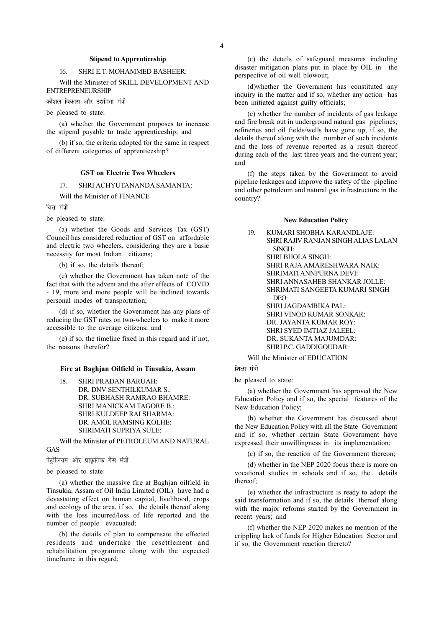## Stipend to Apprenticeship

# 16. SHRI E.T. MOHAMMED BASHEER:

Will the Minister of SKILL DEVELOPMENT AND ENTREPRENEURSHIP

कौशल विकास और उद्यमिता मंत्री

be pleased to state:

(a) whether the Government proposes to increase the stipend payable to trade apprenticeship; and

(b) if so, the criteria adopted for the same in respect of different categories of apprenticeship?

## GST on Electric Two Wheelers

17. SHRI ACHYUTANANDA SAMANTA:

Will the Minister of FINANCE

वित्त मंत्री

be pleased to state:

(a) whether the Goods and Services Tax (GST) Council has considered reduction of GST on affordable and electric two wheelers, considering they are a basic necessity for most Indian citizens;

(b) if so, the details thereof;

(c) whether the Government has taken note of the fact that with the advent and the after effects of COVID - 19, more and more people will be inclined towards personal modes of transportation;

(d) if so, whether the Government has any plans of reducing the GST rates on two-wheelers to make it more accessible to the average citizens; and

(e) if so, the timeline fixed in this regard and if not, the reasons therefor?

#### Fire at Baghjan Oilfield in Tinsukia, Assam

18. SHRI PRADAN BARUAH: DR. DNV SENTHILKUMAR S.: DR. SUBHASH RAMRAO BHAMRE: SHRI MANICKAM TAGORE B.: SHRI KULDEEP RAI SHARMA: DR. AMOL RAMSING KOLHE: SHRIMATI SUPRIYA SULE:

Will the Minister of PETROLEUM AND NATURAL GAS

पेट्रोलियम और प्राकृतिक गैस मंत्री

be pleased to state:

(a) whether the massive fire at Baghjan oilfield in Tinsukia, Assam of Oil India Limited (OIL) have had a devastating effect on human capital, livelihood, crops and ecology of the area, if so, the details thereof along with the loss incurred/loss of life reported and the number of people evacuated;

(b) the details of plan to compensate the effected residents and undertake the resettlement and rehabilitation programme along with the expected timeframe in this regard;

(c) the details of safeguard measures including disaster mitigation plans put in place by OIL in the perspective of oil well blowout;

(d)whether the Government has constituted any inquiry in the matter and if so, whether any action has been initiated against guilty officials;

(e) whether the number of incidents of gas leakage and fire break out in underground natural gas pipelines, refineries and oil fields/wells have gone up, if so, the details thereof along with the number of such incidents and the loss of revenue reported as a result thereof during each of the last three years and the current year; and

(f) the steps taken by the Government to avoid pipeline leakages and improve the safety of the pipeline and other petroleum and natural gas infrastructure in the country?

# New Education Policy

| 19. | KUMARI SHOBHA KARANDLAJE:           |
|-----|-------------------------------------|
|     | SHRI RAJIV RANJAN SINGH ALJAS LALAN |
|     | SINGH:                              |
|     | SHRI BHOLA SINGH:                   |
|     | SHRI RAJA AMARESHWARA NAIK:         |
|     | SHRIMATI ANNPURNA DEVI:             |
|     | SHRI ANNASAHER SHANKAR JOLLE:       |
|     | SHRIMATI SANGEETA KUMARI SINGH      |
|     | DEO:                                |
|     | SHRI JAGDAMBIKA PAL:                |
|     | SHRI VINOD KUMAR SONKAR:            |
|     | DR. JAYANTA KUMAR ROY:              |
|     | SHRI SYED IMTIAZ JALEEL:            |
|     | DR. SUKANTA MAJUMDAR:               |
|     | SHRI P.C. GADDIGOUDAR:              |
|     |                                     |

Will the Minister of EDUCATION

शिक्षा मंत्री

be pleased to state:

(a) whether the Government has approved the New Education Policy and if so, the special features of the New Education Policy;

(b) whether the Government has discussed about the New Education Policy with all the State Government and if so, whether certain State Government have expressed their unwillingness in its implementation;

(c) if so, the reaction of the Government thereon;

(d) whether in the NEP 2020 focus there is more on vocational studies in schools and if so, the details thereof;

(e) whether the infrastructure is ready to adopt the said transformation and if so, the details thereof along with the major reforms started by the Government in recent years; and

(f) whether the NEP 2020 makes no mention of the crippling lack of funds for Higher Education Sector and if so, the Government reaction thereto?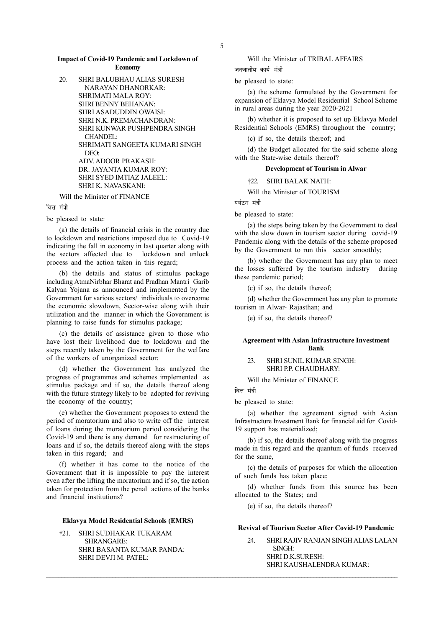#### Impact of Covid-19 Pandemic and Lockdown of Economy

20. SHRI BALUBHAU ALIAS SURESH NARAYAN DHANORKAR: SHRIMATI MALA ROY: SHRI BENNY BEHANAN: SHRI ASADUDDIN OWAISI: SHRI N.K. PREMACHANDRAN: SHRI KUNWAR PUSHPENDRA SINGH CHANDEL: SHRIMATI SANGEETA KUMARI SINGH DEO: ADV. ADOOR PRAKASH: DR. JAYANTA KUMAR ROY: SHRI SYED IMTIAZ JALEEL: SHRI K. NAVASKANI:

Will the Minister of FINANCE

वित्त मंत्री

be pleased to state:

(a) the details of financial crisis in the country due to lockdown and restrictions imposed due to Covid-19 indicating the fall in economy in last quarter along with the sectors affected due to lockdown and unlock process and the action taken in this regard;

(b) the details and status of stimulus package including AtmaNirbhar Bharat and Pradhan Mantri Garib Kalyan Yojana as announced and implemented by the Government for various sectors/ individuals to overcome the economic slowdown, Sector-wise along with their utilization and the manner in which the Government is planning to raise funds for stimulus package;

(c) the details of assistance given to those who have lost their livelihood due to lockdown and the steps recently taken by the Government for the welfare of the workers of unorganized sector;

(d) whether the Government has analyzed the progress of programmes and schemes implemented as stimulus package and if so, the details thereof along with the future strategy likely to be adopted for reviving the economy of the country;

(e) whether the Government proposes to extend the period of moratorium and also to write off the interest of loans during the moratorium period considering the Covid-19 and there is any demand for restructuring of loans and if so, the details thereof along with the steps taken in this regard; and

(f) whether it has come to the notice of the Government that it is impossible to pay the interest even after the lifting the moratorium and if so, the action taken for protection from the penal actions of the banks and financial institutions?

# Eklavya Model Residential Schools (EMRS)

†21. SHRI SUDHAKAR TUKARAM SHRANGARE: SHRI BASANTA KUMAR PANDA: SHRI DEVJI M. PATEL:

Will the Minister of TRIBAL AFFAIRS

जनजातीय कार्य मंत्र<del>ी</del>

be pleased to state:

(a) the scheme formulated by the Government for expansion of Eklavya Model Residential School Scheme in rural areas during the year 2020-2021

(b) whether it is proposed to set up Eklavya Model Residential Schools (EMRS) throughout the country;

(c) if so, the details thereof; and

(d) the Budget allocated for the said scheme along with the State-wise details thereof?

# Development of Tourism in Alwar

#### †22. SHRI BALAK NATH:

Will the Minister of TOURISM

पर्यटन मंत्री

be pleased to state:

(a) the steps being taken by the Government to deal with the slow down in tourism sector during covid-19 Pandemic along with the details of the scheme proposed by the Government to run this sector smoothly;

(b) whether the Government has any plan to meet the losses suffered by the tourism industry during these pandemic period;

(c) if so, the details thereof;

(d) whether the Government has any plan to promote tourism in Alwar- Rajasthan; and

(e) if so, the details thereof?

# Agreement with Asian Infrastructure Investment Bank

# 23. SHRI SUNIL KUMAR SINGH: SHRI P.P. CHAUDHARY:

Will the Minister of FINANCE

ਕਿ<del>ਸ</del> ਸ਼ੁੱਤੀ

 $\mathcal{L} = \{ \mathcal{L} = \{ \mathcal{L} = \{ \mathcal{L} = \{ \mathcal{L} = \{ \mathcal{L} = \{ \mathcal{L} = \{ \mathcal{L} = \{ \mathcal{L} = \{ \mathcal{L} = \{ \mathcal{L} = \{ \mathcal{L} = \{ \mathcal{L} = \{ \mathcal{L} = \{ \mathcal{L} = \{ \mathcal{L} = \{ \mathcal{L} = \{ \mathcal{L} = \{ \mathcal{L} = \{ \mathcal{L} = \{ \mathcal{L} = \{ \mathcal{L} = \{ \mathcal{L} = \{ \mathcal{L} = \{ \mathcal{$ 

be pleased to state:

(a) whether the agreement signed with Asian Infrastructure Investment Bank for financial aid for Covid-19 support has materialized;

(b) if so, the details thereof along with the progress made in this regard and the quantum of funds received for the same,

(c) the details of purposes for which the allocation of such funds has taken place;

(d) whether funds from this source has been allocated to the States; and

(e) if so, the details thereof?

# Revival of Tourism Sector After Covid-19 Pandemic

24. SHRI RAJIV RANJAN SINGH ALIAS LALAN SINGH: SHRI D.K.SURESH: SHRI KAUSHALENDRA KUMAR: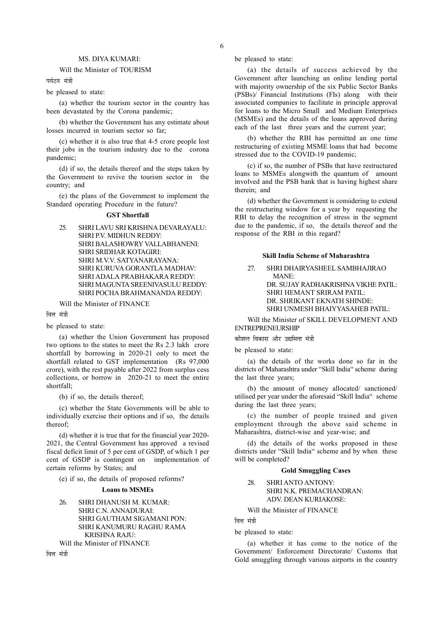# MS. DIYA KUMARI:

# Will the Minister of TOURISM

पर्यटन मंत्री

be pleased to state:

(a) whether the tourism sector in the country has been devastated by the Corona pandemic;

(b) whether the Government has any estimate about losses incurred in tourism sector so far;

(c) whether it is also true that 4-5 crore people lost their jobs in the tourism industry due to the corona pandemic;

(d) if so, the details thereof and the steps taken by the Government to revive the tourism sector in the country; and

(e) the plans of the Government to implement the Standard operating Procedure in the future?

#### GST Shortfall

25. SHRI LAVU SRI KRISHNA DEVARAYALU: SHRI P.V. MIDHUN REDDY: SHRI BALASHOWRY VALLABHANENI: SHRI SRIDHAR KOTAGIRI: SHRI M.V.V. SATYANAR AYANA · SHRI KURUVA GORANTLA MADHAV: SHRI ADALA PRABHAKARA REDDY: SHRI MAGUNTA SREENIVASULU REDDY: SHRI POCHA BRAHMANANDA REDDY:

Will the Minister of FINANCE

वित्त मंत्र<u>ी</u>

be pleased to state:

(a) whether the Union Government has proposed two options to the states to meet the Rs 2.3 lakh crore shortfall by borrowing in 2020-21 only to meet the shortfall related to GST implementation (Rs 97,000 crore), with the rest payable after 2022 from surplus cess collections, or borrow in 2020-21 to meet the entire shortfall;

(b) if so, the details thereof;

(c) whether the State Governments will be able to individually exercise their options and if so, the details thereof;

(d) whether it is true that for the financial year 2020- 2021, the Central Government has approved a revised fiscal deficit limit of 5 per cent of GSDP, of which 1 per cent of GSDP is contingent on implementation of certain reforms by States; and

(e) if so, the details of proposed reforms?

# Loans to MSMEs

26. SHRI DHANUSH M. KUMAR: SHRI C.N. ANNADURAI: SHRI GAUTHAM SIGAMANI PON: SHRI KANUMURU RAGHU RAMA KRISHNA RAJU: Will the Minister of FINANCE

ਕਿਜ ਸ਼<mark>ਂ</mark>ਤੀ

be pleased to state:

(a) the details of success achieved by the Government after launching an online lending portal with majority ownership of the six Public Sector Banks (PSBs)/ Financial Institutions (FIs) along with their associated companies to facilitate in principle approval for loans to the Micro Small and Medium Enterprises (MSMEs) and the details of the loans approved during each of the last three years and the current year;

(b) whether the RBI has permitted an one time restructuring of existing MSME loans that had become stressed due to the COVID-19 pandemic;

(c) if so, the number of PSBs that have restructured loans to MSMEs alongwith the quantum of amount involved and the PSB bank that is having highest share therein; and

(d) whether the Government is considering to extend the restructuring window for a year by requesting the RBI to delay the recognition of stress in the segment due to the pandemic, if so, the details thereof and the response of the RBI in this regard?

## Skill India Scheme of Maharashtra

27. SHRI DHAIRYASHEEL SAMBHAJIRAO MANE: DR. SUJAY RADHAKRISHNA VIKHE PATIL: SHRI HEMANT SRIRAM PATIL: DR. SHRIKANT EKNATH SHINDE: SHRI UNMESH BHAIYYASAHEB PATIL:

Will the Minister of SKILL DEVELOPMENT AND ENTREPRENEURSHIP

कौशल विकास और उद्यमिता मंत्री

be pleased to state:

(a) the details of the works done so far in the districts of Maharashtra under "Skill India" scheme during the last three years;

(b) the amount of money allocated/ sanctioned/ utilised per year under the aforesaid "Skill India" scheme during the last three years;

(c) the number of people trained and given employment through the above said scheme in Maharashtra, district-wise and year-wise; and

(d) the details of the works proposed in these districts under "Skill India" scheme and by when these will be completed?

# Gold Smuggling Cases

28. SHRI ANTO ANTONY: SHRI N.K. PREMACHANDRAN: ADV. DEAN KURIAKOSE:

Will the Minister of FINANCE

वित्त मंत्री

be pleased to state:

(a) whether it has come to the notice of the Government/ Enforcement Directorate/ Customs that Gold smuggling through various airports in the country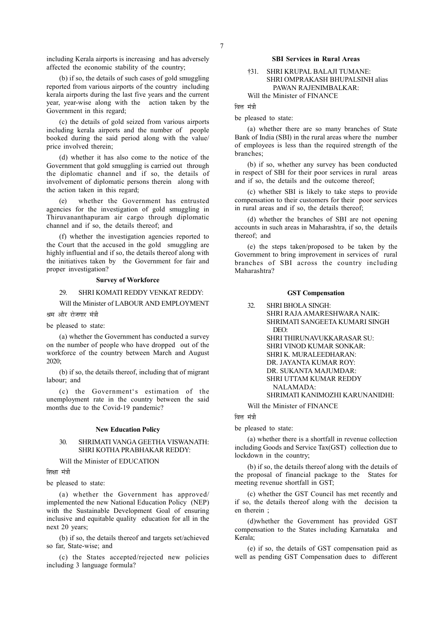including Kerala airports is increasing and has adversely affected the economic stability of the country;

(b) if so, the details of such cases of gold smuggling reported from various airports of the country including kerala airports during the last five years and the current year, year-wise along with the action taken by the Government in this regard;

(c) the details of gold seized from various airports including kerala airports and the number of people booked during the said period along with the value/ price involved therein;

(d) whether it has also come to the notice of the Government that gold smuggling is carried out through the diplomatic channel and if so, the details of involvement of diplomatic persons therein along with the action taken in this regard;

(e) whether the Government has entrusted agencies for the investigation of gold smuggling in Thiruvananthapuram air cargo through diplomatic channel and if so, the details thereof; and

(f) whether the investigation agencies reported to the Court that the accused in the gold smuggling are highly influential and if so, the details thereof along with the initiatives taken by the Government for fair and proper investigation?

# Survey of Workforce

#### 29. SHRI KOMATI REDDY VENKAT REDDY:

Will the Minister of LABOUR AND EMPLOYMENT

श्रम और रोजगार मंत्री

be pleased to state:

(a) whether the Government has conducted a survey on the number of people who have dropped out of the workforce of the country between March and August 2020;

(b) if so, the details thereof, including that of migrant labour; and

(c) the Government's estimation of the unemployment rate in the country between the said months due to the Covid-19 pandemic?

### New Education Policy

## 30. SHRIMATI VANGA GEETHA VISWANATH: SHRI KOTHA PRABHAKAR REDDY:

Will the Minister of EDUCATION

शिक्षा मंत्री

be pleased to state:

(a) whether the Government has approved/ implemented the new National Education Policy (NEP) with the Sustainable Development Goal of ensuring inclusive and equitable quality education for all in the next 20 years;

(b) if so, the details thereof and targets set/achieved so far, State-wise; and

(c) the States accepted/rejected new policies including 3 language formula?

#### SBI Services in Rural Areas

# †31. SHRI KRUPAL BALAJI TUMANE: SHRI OMPRAKASH BHUPALSINH alias PAWAN RAJENIMBALKAR: Will the Minister of FINANCE

वित्त मंत्री

be pleased to state:

(a) whether there are so many branches of State Bank of India (SBI) in the rural areas where the number of employees is less than the required strength of the branches;

(b) if so, whether any survey has been conducted in respect of SBI for their poor services in rural areas and if so, the details and the outcome thereof;

(c) whether SBI is likely to take steps to provide compensation to their customers for their poor services in rural areas and if so, the details thereof;

(d) whether the branches of SBI are not opening accounts in such areas in Maharashtra, if so, the details thereof; and

(e) the steps taken/proposed to be taken by the Government to bring improvement in services of rural branches of SBI across the country including Maharashtra?

#### GST Compensation

32. SHRI BHOLA SINGH: SHRI RAJA AMARESHWARA NAIK: SHRIMATI SANGEETA KUMARI SINGH DEO: SHRI THIRUNAVUKKARASAR SU: SHRI VINOD KUMAR SONKAR: SHRI K. MURALEEDHARAN: DR. JAYANTA KUMAR ROY: DR. SUKANTA MAJUMDAR: SHRI UTTAM KUMAR REDDY NALAMADA: SHRIMATI KANIMOZHI KARUNANIDHI:

Will the Minister of FINANCE

वित्त मंत्री

be pleased to state:

(a) whether there is a shortfall in revenue collection including Goods and Service Tax(GST) collection due to lockdown in the country;

(b) if so, the details thereof along with the details of the proposal of financial package to the States for meeting revenue shortfall in GST;

(c) whether the GST Council has met recently and if so, the details thereof along with the decision ta en therein ;

(d)whether the Government has provided GST compensation to the States including Karnataka and Kerala;

(e) if so, the details of GST compensation paid as well as pending GST Compensation dues to different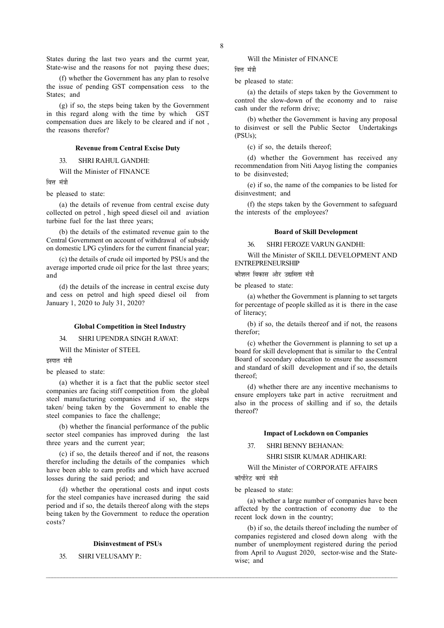States during the last two years and the currnt year, State-wise and the reasons for not paying these dues;

(f) whether the Government has any plan to resolve the issue of pending GST compensation cess to the States; and

(g) if so, the steps being taken by the Government in this regard along with the time by which GST compensation dues are likely to be cleared and if not , the reasons therefor?

#### Revenue from Central Excise Duty

33. SHRI RAHUL GANDHI:

Will the Minister of FINANCE

वित्त मंत्री

be pleased to state:

(a) the details of revenue from central excise duty collected on petrol , high speed diesel oil and aviation turbine fuel for the last three years;

(b) the details of the estimated revenue gain to the Central Government on account of withdrawal of subsidy on domestic LPG cylinders for the current financial year;

(c) the details of crude oil imported by PSUs and the average imported crude oil price for the last three years; and

(d) the details of the increase in central excise duty and cess on petrol and high speed diesel oil from January 1, 2020 to July 31, 2020?

#### Global Competition in Steel Industry

34. SHRI UPENDRA SINGH RAWAT:

Will the Minister of STEEL

इस्पात मंत्री

be pleased to state:

(a) whether it is a fact that the public sector steel companies are facing stiff competition from the global steel manufacturing companies and if so, the steps taken/ being taken by the Government to enable the steel companies to face the challenge;

(b) whether the financial performance of the public sector steel companies has improved during the last three years and the current year;

(c) if so, the details thereof and if not, the reasons therefor including the details of the companies which have been able to earn profits and which have accrued losses during the said period; and

(d) whether the operational costs and input costs for the steel companies have increased during the said period and if so, the details thereof along with the steps being taken by the Government to reduce the operation costs?

#### Disinvestment of PSUs

35. SHRI VELUSAMY P.:

Will the Minister of FINANCE

वित्त मंत्री

be pleased to state:

(a) the details of steps taken by the Government to control the slow-down of the economy and to raise cash under the reform drive;

(b) whether the Government is having any proposal to disinvest or sell the Public Sector Undertakings (PSUs);

(c) if so, the details thereof;

(d) whether the Government has received any recommendation from Niti Aayog listing the companies to be disinvested;

(e) if so, the name of the companies to be listed for disinvestment; and

(f) the steps taken by the Government to safeguard the interests of the employees?

#### Board of Skill Development

## 36. SHRI FEROZE VARUN GANDHI:

Will the Minister of SKILL DEVELOPMENT AND ENTREPRENEURSHIP

कौशल विकास और उद्यमिता मंत्री

be pleased to state:

(a) whether the Government is planning to set targets for percentage of people skilled as it is there in the case of literacy;

(b) if so, the details thereof and if not, the reasons therefor;

(c) whether the Government is planning to set up a board for skill development that is similar to the Central Board of secondary education to ensure the assessment and standard of skill development and if so, the details thereof;

(d) whether there are any incentive mechanisms to ensure employers take part in active recruitment and also in the process of skilling and if so, the details thereof?

## Impact of Lockdown on Companies

37. SHRI BENNY BEHANAN:

SHRI SISIR KUMAR ADHIKARI:

Will the Minister of CORPORATE AFFAIRS

कॉर्पोरेट कार्य मंत्री

 $\mathcal{L} = \{ \mathcal{L} = \{ \mathcal{L} = \{ \mathcal{L} = \{ \mathcal{L} = \{ \mathcal{L} = \{ \mathcal{L} = \{ \mathcal{L} = \{ \mathcal{L} = \{ \mathcal{L} = \{ \mathcal{L} = \{ \mathcal{L} = \{ \mathcal{L} = \{ \mathcal{L} = \{ \mathcal{L} = \{ \mathcal{L} = \{ \mathcal{L} = \{ \mathcal{L} = \{ \mathcal{L} = \{ \mathcal{L} = \{ \mathcal{L} = \{ \mathcal{L} = \{ \mathcal{L} = \{ \mathcal{L} = \{ \mathcal{$ 

be pleased to state:

(a) whether a large number of companies have been affected by the contraction of economy due to the recent lock down in the country;

(b) if so, the details thereof including the number of companies registered and closed down along with the number of unemployment registered during the period from April to August 2020, sector-wise and the Statewise; and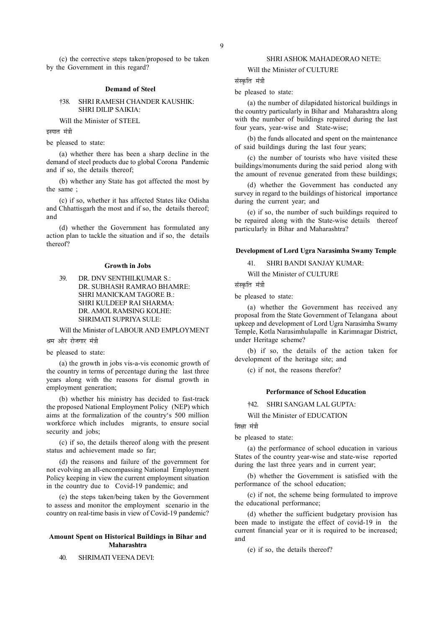(c) the corrective steps taken/proposed to be taken by the Government in this regard?

#### Demand of Steel

# †38. SHRI RAMESH CHANDER KAUSHIK: SHRI DILIP SAIKIA:

Will the Minister of STEEL

इस्पात मंत्री

be pleased to state:

(a) whether there has been a sharp decline in the demand of steel products due to global Corona Pandemic and if so, the details thereof;

(b) whether any State has got affected the most by the same ;

(c) if so, whether it has affected States like Odisha and Chhattisgarh the most and if so, the details thereof; and

(d) whether the Government has formulated any action plan to tackle the situation and if so, the details thereof?

# Growth in Jobs

39. DR. DNV SENTHILKUMAR S.: DR. SUBHASH RAMRAO BHAMRE: SHRI MANICKAM TAGORE B.: SHRI KULDEEP RAI SHARMA: DR. AMOL RAMSING KOLHE: SHRIMATI SUPRIYA SULE:

Will the Minister of LABOUR AND EMPLOYMENT श्रम और रोजगार मंत्री

be pleased to state:

(a) the growth in jobs vis-a-vis economic growth of the country in terms of percentage during the last three years along with the reasons for dismal growth in employment generation;

(b) whether his ministry has decided to fast-track the proposed National Employment Policy (NEP) which aims at the formalization of the country's 500 million workforce which includes migrants, to ensure social security and jobs;

(c) if so, the details thereof along with the present status and achievement made so far;

(d) the reasons and failure of the government for not evolving an all-encompassing National Employment Policy keeping in view the current employment situation in the country due to Covid-19 pandemic; and

(e) the steps taken/being taken by the Government to assess and monitor the employment scenario in the country on real-time basis in view of Covid-19 pandemic?

# Amount Spent on Historical Buildings in Bihar and Maharashtra

40. SHRIMATI VEENA DEVI:

#### SHRI ASHOK MAHADEORAO NETE:

Will the Minister of CULTURE

संस्कति मंत्री

be pleased to state:

(a) the number of dilapidated historical buildings in the country particularly in Bihar and Maharashtra along with the number of buildings repaired during the last four years, year-wise and State-wise;

(b) the funds allocated and spent on the maintenance of said buildings during the last four years;

(c) the number of tourists who have visited these buildings/monuments during the said period along with the amount of revenue generated from these buildings;

(d) whether the Government has conducted any survey in regard to the buildings of historical importance during the current year; and

(e) if so, the number of such buildings required to be repaired along with the State-wise details thereof particularly in Bihar and Maharashtra?

# Development of Lord Ugra Narasimha Swamy Temple

41. SHRI BANDI SANJAY KUMAR:

Will the Minister of CULTURE

संस्कति मंत्री

be pleased to state:

(a) whether the Government has received any proposal from the State Government of Telangana about upkeep and development of Lord Ugra Narasimha Swamy Temple, Kotla Narasimhulapalle in Karimnagar District, under Heritage scheme?

(b) if so, the details of the action taken for development of the heritage site; and

(c) if not, the reasons therefor?

#### Performance of School Education

†42. SHRI SANGAM LAL GUPTA:

Will the Minister of EDUCATION

शिक्षा मंत्री

be pleased to state:

(a) the performance of school education in various States of the country year-wise and state-wise reported during the last three years and in current year;

(b) whether the Government is satisfied with the performance of the school education;

(c) if not, the scheme being formulated to improve the educational performance;

(d) whether the sufficient budgetary provision has been made to instigate the effect of covid-19 in the current financial year or it is required to be increased; and

(e) if so, the details thereof?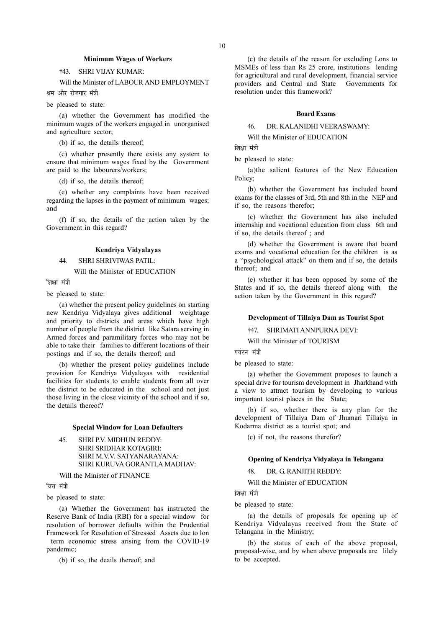#### Minimum Wages of Workers

# †43. SHRI VIJAY KUMAR:

Will the Minister of LABOUR AND EMPLOYMENT श्रम और रोजगार मंत्री

be pleased to state:

(a) whether the Government has modified the minimum wages of the workers engaged in unorganised and agriculture sector;

(b) if so, the details thereof;

(c) whether presently there exists any system to ensure that minimum wages fixed by the Government are paid to the labourers/workers;

(d) if so, the details thereof;

(e) whether any complaints have been received regarding the lapses in the payment of minimum wages; and

(f) if so, the details of the action taken by the Government in this regard?

# Kendriya Vidyalayas

## 44. SHRI SHRIVIWAS PATIL:

Will the Minister of EDUCATION

शिक्षा मंत्री

be pleased to state:

(a) whether the present policy guidelines on starting new Kendriya Vidyalaya gives additional weightage and priority to districts and areas which have high number of people from the district like Satara serving in Armed forces and paramilitary forces who may not be able to take their families to different locations of their postings and if so, the details thereof; and

(b) whether the present policy guidelines include provision for Kendriya Vidyalayas with residential facilities for students to enable students from all over the district to be educated in the school and not just those living in the close vicinity of the school and if so, the details thereof?

# Special Window for Loan Defaulters

45. SHRI P.V. MIDHUN REDDY: SHRI SRIDHAR KOTAGIRI: SHRI M.V.V. SATYANARAYANA: SHRI KURUVA GORANTLA MADHAV:

Will the Minister of FINANCE

वित्त मंत्री

be pleased to state:

(a) Whether the Government has instructed the Reserve Bank of India (RBI) for a special window for resolution of borrower defaults within the Prudential Framework for Resolution of Stressed Assets due to lon term economic stress arising from the COVID-19

pandemic;

(b) if so, the deails thereof; and

(c) the details of the reason for excluding Lons to MSMEs of less than Rs 25 crore, institutions lending for agricultural and rural development, financial service providers and Central and State Governments for resolution under this framework?

## Board Exams

# 46. DR. KALANIDHI VEERASWAMY:

Will the Minister of EDUCATION

शिक्षा मंत्री

be pleased to state:

(a)the salient features of the New Education Policy;

(b) whether the Government has included board exams for the classes of 3rd, 5th and 8th in the NEP and if so, the reasons therefor;

(c) whether the Government has also included internship and vocational education from class 6th and if so, the details thereof ; and

(d) whether the Government is aware that board exams and vocational education for the children is as a "psychological attack" on them and if so, the details thereof; and

(e) whether it has been opposed by some of the States and if so, the details thereof along with the action taken by the Government in this regard?

#### Development of Tillaiya Dam as Tourist Spot

†47. SHRIMATI ANNPURNA DEVI:

Will the Minister of TOURISM

पर्यटन मंत्री

be pleased to state:

(a) whether the Government proposes to launch a special drive for tourism development in Jharkhand with a view to attract tourism by developing to various important tourist places in the State;

(b) if so, whether there is any plan for the development of Tillaiya Dam of Jhumari Tillaiya in Kodarma district as a tourist spot; and

(c) if not, the reasons therefor?

## Opening of Kendriya Vidyalaya in Telangana

48. DR. G. RANJITH REDDY:

Will the Minister of EDUCATION

शिक्षा मंत्री

be pleased to state:

(a) the details of proposals for opening up of Kendriya Vidyalayas received from the State of Telangana in the Ministry;

(b) the status of each of the above proposal, proposal-wise, and by when above proposals are lilely to be accepted.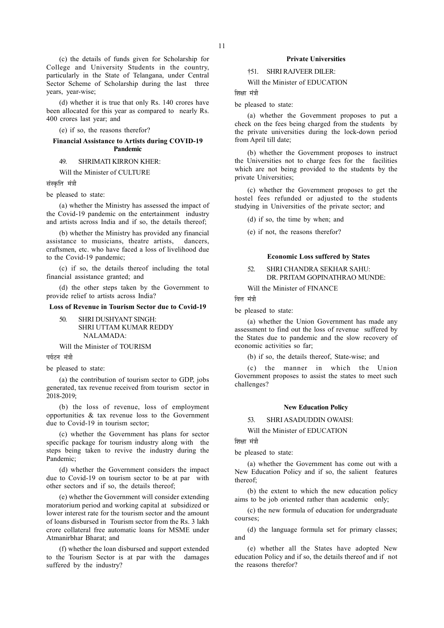(c) the details of funds given for Scholarship for College and University Students in the country, particularly in the State of Telangana, under Central Sector Scheme of Scholarship during the last three years, year-wise;

(d) whether it is true that only Rs. 140 crores have been allocated for this year as compared to nearly Rs. 400 crores last year; and

(e) if so, the reasons therefor?

# Financial Assistance to Artists during COVID-19 Pandemic

# 49. SHRIMATI KIRRON KHER:

Will the Minister of CULTURE

संस्कृति मंत्री

be pleased to state:

(a) whether the Ministry has assessed the impact of the Covid-19 pandemic on the entertainment industry and artists across India and if so, the details thereof;

(b) whether the Ministry has provided any financial assistance to musicians, theatre artists, dancers, craftsmen, etc. who have faced a loss of livelihood due to the Covid-19 pandemic;

(c) if so, the details thereof including the total financial assistance granted; and

(d) the other steps taken by the Government to provide relief to artists across India?

# Loss of Revenue in Tourism Sector due to Covid-19

50. SHRI DUSHYANT SINGH: SHRI UTTAM KUMAR REDDY NALAMADA:

Will the Minister of TOURISM

पर्यटन मंत्री

be pleased to state:

(a) the contribution of tourism sector to GDP, jobs generated, tax revenue received from tourism sector in 2018-2019;

(b) the loss of revenue, loss of employment opportunities & tax revenue loss to the Government due to Covid-19 in tourism sector;

(c) whether the Government has plans for sector specific package for tourism industry along with the steps being taken to revive the industry during the Pandemic;

(d) whether the Government considers the impact due to Covid-19 on tourism sector to be at par with other sectors and if so, the details thereof;

(e) whether the Government will consider extending moratorium period and working capital at subsidized or lower interest rate for the tourism sector and the amount of loans disbursed in Tourism sector from the Rs. 3 lakh crore collateral free automatic loans for MSME under Atmanirbhar Bharat; and

(f) whether the loan disbursed and support extended to the Tourism Sector is at par with the damages suffered by the industry?

# Private Universities

†51. SHRI RAJVEER DILER:

Will the Minister of EDUCATION

णिश्रा मंत्री

be pleased to state:

(a) whether the Government proposes to put a check on the fees being charged from the students by the private universities during the lock-down period from April till date;

(b) whether the Government proposes to instruct the Universities not to charge fees for the facilities which are not being provided to the students by the private Universities;

(c) whether the Government proposes to get the hostel fees refunded or adjusted to the students studying in Universities of the private sector; and

(d) if so, the time by when; and

(e) if not, the reasons therefor?

### Economic Loss suffered by States

# 52. SHRI CHANDRA SEKHAR SAHU: DR. PRITAM GOPINATHRAO MUNDE:

Will the Minister of FINANCE

वित्त मंत्री

be pleased to state:

(a) whether the Union Government has made any assessment to find out the loss of revenue suffered by the States due to pandemic and the slow recovery of economic activities so far;

(b) if so, the details thereof, State-wise; and

(c) the manner in which the Union Government proposes to assist the states to meet such challenges?

#### New Education Policy

53. SHRI ASADUDDIN OWAISI:

Will the Minister of EDUCATION

शिक्षा मंत्री

be pleased to state:

(a) whether the Government has come out with a New Education Policy and if so, the salient features thereof;

(b) the extent to which the new education policy aims to be job oriented rather than academic only;

(c) the new formula of education for undergraduate courses;

(d) the language formula set for primary classes; and

(e) whether all the States have adopted New education Policy and if so, the details thereof and if not the reasons therefor?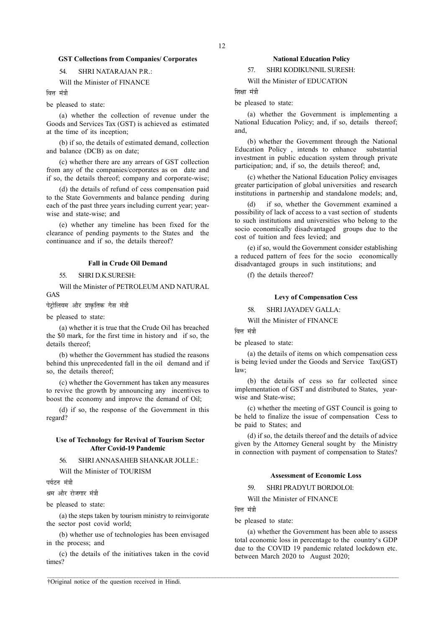# GST Collections from Companies/ Corporates

# 54. SHRI NATARAJAN P.R.:

Will the Minister of FINANCE

ਕਿਜ ਸ਼<mark>ਂ</mark>ਤੀ

be pleased to state:

(a) whether the collection of revenue under the Goods and Services Tax (GST) is achieved as estimated at the time of its inception;

(b) if so, the details of estimated demand, collection and balance (DCB) as on date;

(c) whether there are any arrears of GST collection from any of the companies/corporates as on date and if so, the details thereof; company and corporate-wise;

(d) the details of refund of cess compensation paid to the State Governments and balance pending during each of the past three years including current year; yearwise and state-wise; and

(e) whether any timeline has been fixed for the clearance of pending payments to the States and the continuance and if so, the details thereof?

# Fall in Crude Oil Demand

55. SHRI D.K.SURESH:

Will the Minister of PETROLEUM AND NATURAL GAS

पेट्रोलियम और प्राकृतिक गैस मंत्री

be pleased to state:

(a) whether it is true that the Crude Oil has breached the \$0 mark, for the first time in history and if so, the details thereof;

(b) whether the Government has studied the reasons behind this unprecedented fall in the oil demand and if so, the details thereof:

(c) whether the Government has taken any measures to revive the growth by announcing any incentives to boost the economy and improve the demand of Oil;

(d) if so, the response of the Government in this regard?

# Use of Technology for Revival of Tourism Sector After Covid-19 Pandemic

56. SHRI ANNASAHEB SHANKAR JOLLE.:

Will the Minister of TOURISM

पर्यटन मंत्री

श्रम और रोजगार मंत्री

be pleased to state:

(a) the steps taken by tourism ministry to reinvigorate the sector post covid world;

(b) whether use of technologies has been envisaged in the process; and

(c) the details of the initiatives taken in the covid times?

#### National Education Policy

57. SHRI KODIKUNNIL SURESH:

Will the Minister of EDUCATION

# शिक्षा मंत्री

be pleased to state:

(a) whether the Government is implementing a National Education Policy; and, if so, details thereof; and,

(b) whether the Government through the National Education Policy , intends to enhance substantial investment in public education system through private participation; and, if so, the details thereof; and,

(c) whether the National Education Policy envisages greater participation of global universities and research institutions in partnership and standalone models; and,

if so, whether the Government examined a possibility of lack of access to a vast section of students to such institutions and universities who belong to the socio economically disadvantaged groups due to the cost of tuition and fees levied; and

(e) if so, would the Government consider establishing a reduced pattern of fees for the socio economically disadvantaged groups in such institutions; and

(f) the details thereof?

# Levy of Compensation Cess

58. SHRI JAYADEV GALLA:

Will the Minister of FINANCE

वित्त मंत्री

be pleased to state:

(a) the details of items on which compensation cess is being levied under the Goods and Service Tax(GST) law;

(b) the details of cess so far collected since implementation of GST and distributed to States, yearwise and State-wise;

(c) whether the meeting of GST Council is going to be held to finalize the issue of compensation Cess to be paid to States; and

(d) if so, the details thereof and the details of advice given by the Attorney General sought by the Ministry in connection with payment of compensation to States?

# Assessment of Economic Loss

59. SHRI PRADYUT BORDOLOI:

Will the Minister of FINANCE

वित्त मंत्री

 $\mathcal{L} = \{ \mathcal{L} = \{ \mathcal{L} = \{ \mathcal{L} = \{ \mathcal{L} = \{ \mathcal{L} = \{ \mathcal{L} = \{ \mathcal{L} = \{ \mathcal{L} = \{ \mathcal{L} = \{ \mathcal{L} = \{ \mathcal{L} = \{ \mathcal{L} = \{ \mathcal{L} = \{ \mathcal{L} = \{ \mathcal{L} = \{ \mathcal{L} = \{ \mathcal{L} = \{ \mathcal{L} = \{ \mathcal{L} = \{ \mathcal{L} = \{ \mathcal{L} = \{ \mathcal{L} = \{ \mathcal{L} = \{ \mathcal{$ 

be pleased to state:

(a) whether the Government has been able to assess total economic loss in percentage to the country's GDP due to the COVID 19 pandemic related lockdown etc. between March 2020 to August 2020;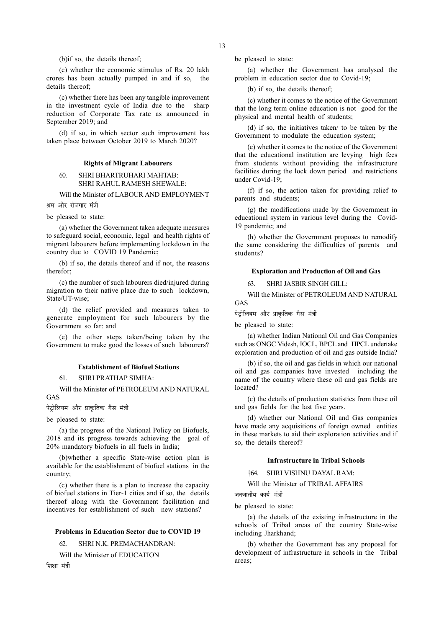(b)if so, the details thereof;

(c) whether the economic stimulus of Rs. 20 lakh crores has been actually pumped in and if so, the details thereof;

(c) whether there has been any tangible improvement in the investment cycle of India due to the sharp reduction of Corporate Tax rate as announced in September 2019; and

(d) if so, in which sector such improvement has taken place between October 2019 to March 2020?

# Rights of Migrant Labourers

# 60. SHRI BHARTRUHARI MAHTAB: SHRI RAHUL RAMESH SHEWALE:

Will the Minister of LABOUR AND EMPLOYMENT श्रम और रोजगार मंत्री

be pleased to state:

(a) whether the Government taken adequate measures to safeguard social, economic, legal and health rights of migrant labourers before implementing lockdown in the country due to COVID 19 Pandemic;

(b) if so, the details thereof and if not, the reasons therefor;

(c) the number of such labourers died/injured during migration to their native place due to such lockdown, State/UT-wise;

(d) the relief provided and measures taken to generate employment for such labourers by the Government so far: and

(e) the other steps taken/being taken by the Government to make good the losses of such labourers?

## Establishment of Biofuel Stations

# 61. SHRI PRATHAP SIMHA:

Will the Minister of PETROLEUM AND NATURAL GAS

पेटोलियम और प्राकृतिक गैस मंत्री

be pleased to state:

(a) the progress of the National Policy on Biofuels, 2018 and its progress towards achieving the goal of 20% mandatory biofuels in all fuels in India;

(b)whether a specific State-wise action plan is available for the establishment of biofuel stations in the country;

(c) whether there is a plan to increase the capacity of biofuel stations in Tier-1 cities and if so, the details thereof along with the Government facilitation and incentives for establishment of such new stations?

#### Problems in Education Sector due to COVID 19

62. SHRI N.K. PREMACHANDRAN:

Will the Minister of EDUCATION

ਗਿਆ ਸੰਤੀ

be pleased to state:

(a) whether the Government has analysed the problem in education sector due to Covid-19;

(b) if so, the details thereof;

(c) whether it comes to the notice of the Government that the long term online education is not good for the physical and mental health of students;

(d) if so, the initiatives taken/ to be taken by the Government to modulate the education system;

(e) whether it comes to the notice of the Government that the educational institution are levying high fees from students without providing the infrastructure facilities during the lock down period and restrictions under Covid-19;

(f) if so, the action taken for providing relief to parents and students;

(g) the modifications made by the Government in educational system in various level during the Covid-19 pandemic; and

(h) whether the Government proposes to remodify the same considering the difficulties of parents and students?

#### Exploration and Production of Oil and Gas

63. SHRI JASBIR SINGH GILL:

Will the Minister of PETROLEUM AND NATURAL GAS

पेट्रोलियम और प्राकृतिक गैस मंत्री

be pleased to state:

(a) whether Indian National Oil and Gas Companies such as ONGC Videsh, IOCL, BPCL and HPCL undertake exploration and production of oil and gas outside India?

(b) if so, the oil and gas fields in which our national oil and gas companies have invested including the name of the country where these oil and gas fields are located?

(c) the details of production statistics from these oil and gas fields for the last five years.

(d) whether our National Oil and Gas companies have made any acquisitions of foreign owned entities in these markets to aid their exploration activities and if so, the details thereof?

# Infrastructure in Tribal Schools

†64. SHRI VISHNU DAYAL RAM:

Will the Minister of TRIBAL AFFAIRS

जनजातीय कार्य मंत्र<del>ी</del>

be pleased to state:

(a) the details of the existing infrastructure in the schools of Tribal areas of the country State-wise including Jharkhand;

(b) whether the Government has any proposal for development of infrastructure in schools in the Tribal areas;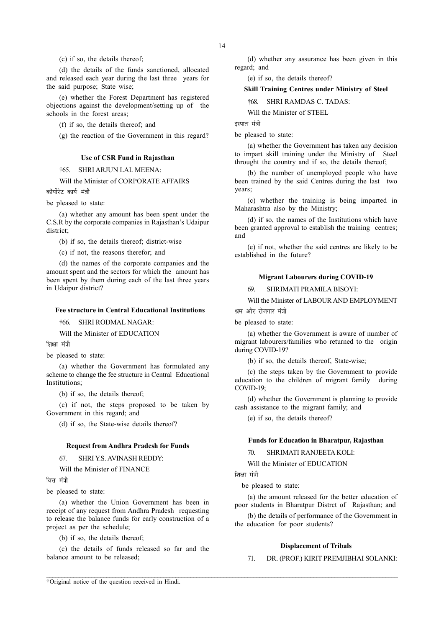(c) if so, the details thereof;

(d) the details of the funds sanctioned, allocated and released each year during the last three years for the said purpose; State wise;

(e) whether the Forest Department has registered objections against the development/setting up of the schools in the forest areas;

(f) if so, the details thereof; and

(g) the reaction of the Government in this regard?

# Use of CSR Fund in Rajasthan

†65. SHRI ARJUN LAL MEENA:

Will the Minister of CORPORATE AFFAIRS

कॉर्पोरेट कार्य मंत्री

be pleased to state:

(a) whether any amount has been spent under the C.S.R by the corporate companies in Rajasthan's Udaipur district;

(b) if so, the details thereof; district-wise

(c) if not, the reasons therefor; and

(d) the names of the corporate companies and the amount spent and the sectors for which the amount has been spent by them during each of the last three years in Udaipur district?

#### Fee structure in Central Educational Institutions

†66. SHRI RODMAL NAGAR:

Will the Minister of EDUCATION

शिक्षा मंत्री

be pleased to state:

(a) whether the Government has formulated any scheme to change the fee structure in Central Educational Institutions;

(b) if so, the details thereof;

(c) if not, the steps proposed to be taken by Government in this regard; and

(d) if so, the State-wise details thereof?

## Request from Andhra Pradesh for Funds

67. SHRI Y.S. AVINASH REDDY:

Will the Minister of FINANCE

वित्त मंत्री

be pleased to state:

(a) whether the Union Government has been in receipt of any request from Andhra Pradesh requesting to release the balance funds for early construction of a project as per the schedule;

(b) if so, the details thereof;

(c) the details of funds released so far and the balance amount to be released;

(d) whether any assurance has been given in this regard; and

(e) if so, the details thereof?

# Skill Training Centres under Ministry of Steel

†68. SHRI RAMDAS C. TADAS:

Will the Minister of STEEL

इस्पात मंत्री

be pleased to state:

(a) whether the Government has taken any decision to impart skill training under the Ministry of Steel throught the country and if so, the details thereof;

(b) the number of unemployed people who have been trained by the said Centres during the last two years;

(c) whether the training is being imparted in Maharashtra also by the Ministry;

(d) if so, the names of the Institutions which have been granted approval to establish the training centres; and

(e) if not, whether the said centres are likely to be established in the future?

### Migrant Labourers during COVID-19

69. SHRIMATI PRAMILA BISOYI:

Will the Minister of LABOUR AND EMPLOYMENT श्रम और रोजगार मंत्री

be pleased to state:

(a) whether the Government is aware of number of migrant labourers/families who returned to the origin during COVID-19?

(b) if so, the details thereof, State-wise;

(c) the steps taken by the Government to provide education to the children of migrant family during COVID-19;

(d) whether the Government is planning to provide cash assistance to the migrant family; and

(e) if so, the details thereof?

## Funds for Education in Bharatpur, Rajasthan

70. SHRIMATI RANJEETA KOLI:

Will the Minister of EDUCATION

शिक्षा मंत्री

 $\mathcal{L} = \{ \mathcal{L} = \{ \mathcal{L} = \{ \mathcal{L} = \{ \mathcal{L} = \{ \mathcal{L} = \{ \mathcal{L} = \{ \mathcal{L} = \{ \mathcal{L} = \{ \mathcal{L} = \{ \mathcal{L} = \{ \mathcal{L} = \{ \mathcal{L} = \{ \mathcal{L} = \{ \mathcal{L} = \{ \mathcal{L} = \{ \mathcal{L} = \{ \mathcal{L} = \{ \mathcal{L} = \{ \mathcal{L} = \{ \mathcal{L} = \{ \mathcal{L} = \{ \mathcal{L} = \{ \mathcal{L} = \{ \mathcal{$ 

be pleased to state:

(a) the amount released for the better education of poor students in Bharatpur Distrct of Rajasthan; and

(b) the details of performance of the Government in the education for poor students?

# Displacement of Tribals

71. DR. (PROF.) KIRIT PREMJIBHAI SOLANKI: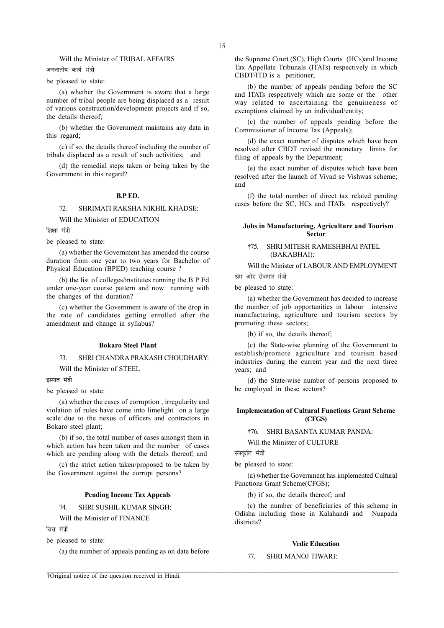# Will the Minister of TRIBAL AFFAIRS

जनजातीय कार्य मंत्र<u>ी</u>

# be pleased to state:

(a) whether the Government is aware that a large number of tribal people are being displaced as a result of various construction/development projects and if so, the details thereof;

(b) whether the Government maintains any data in this regard;

(c) if so, the details thereof including the number of tribals displaced as a result of such activities; and

(d) the remedial steps taken or being taken by the Government in this regard?

#### B.P ED.

# 72. SHRIMATI RAKSHA NIKHIL KHADSE:

Will the Minister of EDUCATION

शिक्षा मंत्री

be pleased to state:

(a) whether the Government has amended the course duration from one year to two years for Bachelor of Physical Education (BPED) teaching course ?

(b) the list of colleges/institutes running the B P Ed under one-year course pattern and now running with the changes of the duration?

(c) whether the Government is aware of the drop in the rate of candidates getting enrolled after the amendment and change in syllabus?

#### Bokaro Steel Plant

# 73. SHRI CHANDRA PRAKASH CHOUDHARY:

Will the Minister of STEEL

इस्पात मंत्री

be pleased to state:

(a) whether the cases of corruption , irregularity and violation of rules have come into limelight on a large scale due to the nexus of officers and contractors in Bokaro steel plant;

(b) if so, the total number of cases amongst them in which action has been taken and the number of cases which are pending along with the details thereof; and

(c) the strict action taken/proposed to be taken by the Government against the corrupt persons?

# Pending Income Tax Appeals

74. SHRI SUSHIL KUMAR SINGH:

Will the Minister of FINANCE

वित्त मंत्री

be pleased to state:

(a) the number of appeals pending as on date before

the Supreme Court (SC), High Courts (HCs)and Income Tax Appellate Tribunals (ITATs) respectively in which CBDT/ITD is a petitioner;

(b) the number of appeals pending before the SC and ITATs respectively which are some or the other way related to ascertaining the genuineness of exemptions claimed by an individual/entity;

(c) the number of appeals pending before the Commissioner of Income Tax (Appeals);

(d) the exact number of disputes which have been resolved after CBDT revised the monetary limits for filing of appeals by the Department;

(e) the exact number of disputes which have been resolved after the launch of Vivad se Vishwas scheme; and

(f) the total number of direct tax related pending cases before the SC, HCs and ITATs respectively?

# Jobs in Manufacturing, Agriculture and Tourism Sector

# †75. SHRI MITESH RAMESHBHAI PATEL (BAKABHAI):

Will the Minister of LABOUR AND EMPLOYMENT श्रम और रोजगार मंत्री

be pleased to state:

(a) whether the Government has decided to increase the number of job opportunities in labour intensive manufacturing, agriculture and tourism sectors by promoting these sectors;

(b) if so, the details thereof;

(c) the State-wise planning of the Government to establish/promote agriculture and tourism based industries during the current year and the next three years; and

(d) the State-wise number of persons proposed to be employed in these sectors?

# Implementation of Cultural Functions Grant Scheme (CFGS)

†76. SHRI BASANTA KUMAR PANDA:

Will the Minister of CULTURE

संस्कृति मंत्री

 $\mathcal{L} = \{ \mathcal{L} = \{ \mathcal{L} = \{ \mathcal{L} = \{ \mathcal{L} = \{ \mathcal{L} = \{ \mathcal{L} = \{ \mathcal{L} = \{ \mathcal{L} = \{ \mathcal{L} = \{ \mathcal{L} = \{ \mathcal{L} = \{ \mathcal{L} = \{ \mathcal{L} = \{ \mathcal{L} = \{ \mathcal{L} = \{ \mathcal{L} = \{ \mathcal{L} = \{ \mathcal{L} = \{ \mathcal{L} = \{ \mathcal{L} = \{ \mathcal{L} = \{ \mathcal{L} = \{ \mathcal{L} = \{ \mathcal{$ 

be pleased to state:

(a) whether the Government has implemented Cultural Functions Grant Scheme(CFGS);

(b) if so, the details thereof; and

(c) the number of beneficiaries of this scheme in Odisha including those in Kalahandi and Nuapada districts?

# Vedic Education

# 77. SHRI MANOJ TIWARI: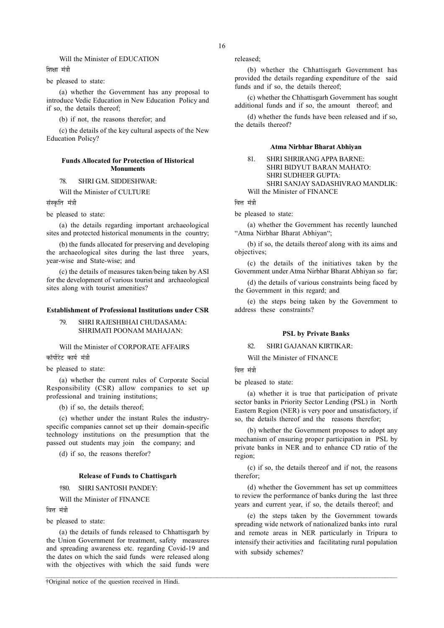# Will the Minister of EDUCATION

शिक्षा मंत्री

be pleased to state:

(a) whether the Government has any proposal to introduce Vedic Education in New Education Policy and if so, the details thereof;

(b) if not, the reasons therefor; and

(c) the details of the key cultural aspects of the New Education Policy?

# Funds Allocated for Protection of Historical Monuments

# 78. SHRI GM. SIDDESHWAR:

Will the Minister of CULTURE

संस्कृति मंत्री

be pleased to state:

(a) the details regarding important archaeological sites and protected historical monuments in the country;

(b) the funds allocated for preserving and developing the archaeological sites during the last three years, year-wise and State-wise; and

(c) the details of measures taken/being taken by ASI for the development of various tourist and archaeological sites along with tourist amenities?

#### Establishment of Professional Institutions under CSR

79. SHRI RAJESHBHAI CHUDASAMA: SHRIMATI POONAM MAHAJAN:

Will the Minister of CORPORATE AFFAIRS कॉर्पोरेट कार्य मंत्री

be pleased to state:

(a) whether the current rules of Corporate Social Responsibility (CSR) allow companies to set up professional and training institutions;

(b) if so, the details thereof;

(c) whether under the instant Rules the industryspecific companies cannot set up their domain-specific technology institutions on the presumption that the passed out students may join the company; and

(d) if so, the reasons therefor?

# Release of Funds to Chattisgarh

# †80. SHRI SANTOSH PANDEY:

Will the Minister of FINANCE

वित्त मंत्री

be pleased to state:

(a) the details of funds released to Chhattisgarh by the Union Government for treatment, safety measures and spreading awareness etc. regarding Covid-19 and the dates on which the said funds were released along with the objectives with which the said funds were

†Original notice of the question received in Hindi.

released;

(b) whether the Chhattisgarh Government has provided the details regarding expenditure of the said funds and if so, the details thereof;

(c) whether the Chhattisgarh Government has sought additional funds and if so, the amount thereof; and

(d) whether the funds have been released and if so, the details thereof?

#### Atma Nirbhar Bharat Abhiyan

81. SHRI SHRIRANG APPA BARNE: SHRI BIDYUT BARAN MAHATO: SHRI SUDHEER GUPTA: SHRI SANJAY SADASHIVRAO MANDLIK: Will the Minister of FINANCE

वित्त मंत्री

be pleased to state:

(a) whether the Government has recently launched "Atma Nirbhar Bharat Abhiyan";

(b) if so, the details thereof along with its aims and objectives;

(c) the details of the initiatives taken by the Government under Atma Nirbhar Bharat Abhiyan so far;

(d) the details of various constraints being faced by the Government in this regard; and

(e) the steps being taken by the Government to address these constraints?

# PSL by Private Banks

82. SHRI GAJANAN KIRTIKAR:

Will the Minister of FINANCE

ਕਿਜ ਸ਼<mark>ੱ</mark>ਤੀ

 $\mathcal{L} = \{ \mathcal{L} = \{ \mathcal{L} = \{ \mathcal{L} = \{ \mathcal{L} = \{ \mathcal{L} = \{ \mathcal{L} = \{ \mathcal{L} = \{ \mathcal{L} = \{ \mathcal{L} = \{ \mathcal{L} = \{ \mathcal{L} = \{ \mathcal{L} = \{ \mathcal{L} = \{ \mathcal{L} = \{ \mathcal{L} = \{ \mathcal{L} = \{ \mathcal{L} = \{ \mathcal{L} = \{ \mathcal{L} = \{ \mathcal{L} = \{ \mathcal{L} = \{ \mathcal{L} = \{ \mathcal{L} = \{ \mathcal{$ 

be pleased to state:

(a) whether it is true that participation of private sector banks in Priority Sector Lending (PSL) in North Eastern Region (NER) is very poor and unsatisfactory, if so, the details thereof and the reasons therefor;

(b) whether the Government proposes to adopt any mechanism of ensuring proper participation in PSL by private banks in NER and to enhance CD ratio of the region;

(c) if so, the details thereof and if not, the reasons therefor;

(d) whether the Government has set up committees to review the performance of banks during the last three years and current year, if so, the details thereof; and

(e) the steps taken by the Government towards spreading wide network of nationalized banks into rural and remote areas in NER particularly in Tripura to intensify their activities and facilitating rural population with subsidy schemes?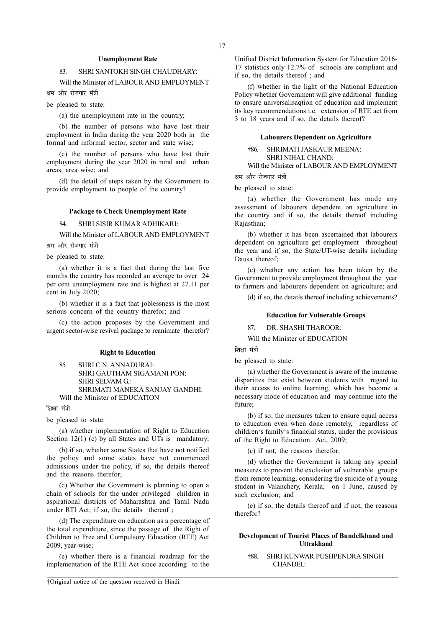## Unemployment Rate

# 83. SHRI SANTOKH SINGH CHAUDHARY:

Will the Minister of LABOUR AND EMPLOYMENT श्रम और रोजगार मंत्री

be pleased to state:

(a) the unemployment rate in the country;

(b) the number of persons who have lost their employment in India during the year 2020 both in the formal and informal sector, sector and state wise;

(c) the number of persons who have lost their employment during the year 2020 in rural and urban areas, area wise; and

(d) the detail of steps taken by the Government to provide employment to people of the country?

#### Package to Check Unemployment Rate

84. SHRI SISIR KUMAR ADHIKARI:

Will the Minister of LABOUR AND EMPLOYMENT

श्रम और रोजगार मंत्री

be pleased to state:

(a) whether it is a fact that during the last five months the country has recorded an average to over 24 per cent unemployment rate and is highest at 27.11 per cent in July 2020;

(b) whether it is a fact that joblessness is the most serious concern of the country therefor; and

(c) the action proposes by the Government and urgent sector-wise revival package to reanimate therefor?

#### Right to Education

# 85. SHRI C.N. ANNADURAI: SHRI GAUTHAM SIGAMANI PON: SHRI SELVAM G.: SHRIMATI MANEKA SANJAY GANDHI: Will the Minister of EDUCATION

शिक्षा मंत्री

be pleased to state:

(a) whether implementation of Right to Education Section 12(1) (c) by all States and UTs is mandatory;

(b) if so, whether some States that have not notified the policy and some states have not commenced admissions under the policy, if so, the details thereof and the reasons therefor;

(c) Whether the Government is planning to open a chain of schools for the under privileged children in aspirational districts of Maharashtra and Tamil Nadu under RTI Act; if so, the details thereof;

(d) The expenditure on education as a percentage of the total expenditure, since the passage of the Right of Children to Free and Compulsory Education (RTE) Act 2009, year-wise;

(e) whether there is a financial roadmap for the implementation of the RTE Act since according to the

 $\mathcal{L} = \{ \mathcal{L} = \{ \mathcal{L} = \{ \mathcal{L} = \{ \mathcal{L} = \{ \mathcal{L} = \{ \mathcal{L} = \{ \mathcal{L} = \{ \mathcal{L} = \{ \mathcal{L} = \{ \mathcal{L} = \{ \mathcal{L} = \{ \mathcal{L} = \{ \mathcal{L} = \{ \mathcal{L} = \{ \mathcal{L} = \{ \mathcal{L} = \{ \mathcal{L} = \{ \mathcal{L} = \{ \mathcal{L} = \{ \mathcal{L} = \{ \mathcal{L} = \{ \mathcal{L} = \{ \mathcal{L} = \{ \mathcal{$ 

Unified District Information System for Education 2016- 17 statistics only 12.7% of schools are compliant and if so, the details thereof ; and

(f) whether in the light of the National Education Policy whether Government will give additional funding to ensure universalisaqtion of education and implement its key recommendations i.e. extension of RTE act from 3 to 18 years and if so, the details thereof?

#### Labourers Dependent on Agriculture

†86. SHRIMATI JASKAUR MEENA: SHRI NIHAL CHAND:

Will the Minister of LABOUR AND EMPLOYMENT

श्रम और रोजगार मंत्री

be pleased to state:

(a) whether the Government has made any assessment of labourers dependent on agriculture in the country and if so, the details thereof including Rajasthan;

(b) whether it has been ascertained that labourers dependent on agriculture get employment throughout the year and if so, the State/UT-wise details including Dausa thereof;

(c) whether any action has been taken by the Government to provide employment throughout the year to farmers and labourers dependent on agriculture; and

(d) if so, the details thereof including achievements?

### Education for Vulnerable Groups

87. DR. SHASHI THAROOR:

Will the Minister of EDUCATION

शिक्षा मंत्री

be pleased to state:

(a) whether the Government is aware of the immense disparities that exist between students with regard to their access to online learning, which has become a necessary mode of education and may continue into the future;

(b) if so, the measures taken to ensure equal access to education even when done remotely, regardless of children's family's financial status, under the provisions of the Right to Education Act, 2009;

(c) if not, the reasons therefor;

(d) whether the Government is taking any special measures to prevent the exclusion of vulnerable groups from remote learning, considering the suicide of a young student in Valanchery, Kerala, on 1 June, caused by such exclusion; and

(e) if so, the details thereof and if not, the reasons therefor?

# Development of Tourist Places of Bundelkhand and Uttrakhand

†88. SHRI KUNWAR PUSHPENDRA SINGH CHANDEL: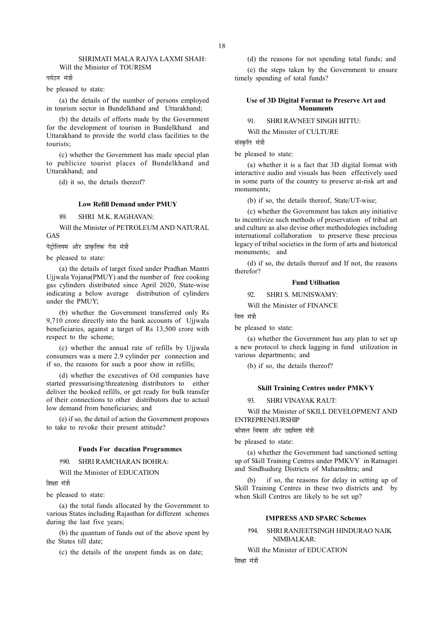## SHRIMATI MALA RAJYA LAXMI SHAH: Will the Minister of TOURISM

पर्यटन मंत्री

be pleased to state:

(a) the details of the number of persons employed in tourism sector in Bundelkhand and Uttarakhand;

(b) the details of efforts made by the Government for the development of tourism in Bundelkhand and Uttarakhand to provide the world class facilities to the tourists;

(c) whether the Government has made special plan to publicize tourist places of Bundelkhand and Uttarakhand; and

(d) it so, the details thereof?

# Low Refill Demand under PMUY

89. SHRI M.K. RAGHAVAN:

Will the Minister of PETROLEUM AND NATURAL GAS

पेट्रोलियम और प्राकृतिक गैस मंत्री

be pleased to state:

(a) the details of target fixed under Pradhan Mantri Ujjwala Yojana(PMUY) and the number of free cooking gas cylinders distributed since April 2020, State-wise indicating a below average distribution of cylinders under the PMUY;

(b) whether the Government transferred only Rs 9,710 crore directly into the bank accounts of Ujjwala beneficiaries, against a target of Rs 13,500 crore with respect to the scheme;

(c) whether the annual rate of refills by Ujjwala consumers was a mere 2.9 cylinder per connection and if so, the reasons for such a poor show in refills;

(d) whether the executives of Oil companies have started pressurising/threatening distributors to either deliver the booked refills, or get ready for bulk transfer of their connections to other distributors due to actual low demand from beneficiaries; and

(e) if so, the detail of action the Government proposes to take to revoke their present attitude?

# Funds For ducation Programmes

†90. SHRI RAMCHARAN BOHRA:

Will the Minister of EDUCATION

शिक्षा मंत्री

be pleased to state:

(a) the total funds allocated by the Government to various States including Rajasthan for different schemes during the last five years;

(b) the quantum of funds out of the above spent by the States till date;

(c) the details of the unspent funds as on date;

(d) the reasons for not spending total funds; and (e) the steps taken by the Government to ensure timely spending of total funds?

Use of 3D Digital Format to Preserve Art and **Monuments** 

91. SHRI RAVNEET SINGH BITTU:

Will the Minister of CULTURE

संस्कृति मंत्री

be pleased to state:

(a) whether it is a fact that 3D digital format with interactive audio and visuals has been effectively used in some parts of the country to preserve at-risk art and monuments;

(b) if so, the details thereof, State/UT-wise;

(c) whether the Government has taken any initiative to incentivize such methods of preservation of tribal art and culture as also devise other methodologies including international collaboration to preserve these precious legacy of tribal societies in the form of arts and historical monuments; and

(d) if so, the details thereof and If not, the reasons therefor?

#### Fund Utilisation

92. SHRI S. MUNISWAMY:

Will the Minister of FINANCE

वित्त मंत्री

be pleased to state:

(a) whether the Government has any plan to set up a new protocol to check lagging in fund utilization in various departments; and

(b) if so, the details thereof?

# Skill Training Centres under PMKVY

93. SHRI VINAYAK RAUT:

Will the Minister of SKILL DEVELOPMENT AND ENTREPRENEURSHIP

<u>कौशल विकास और उद्यमिता मंत्री</u>

be pleased to state:

(a) whether the Government had sanctioned setting up of Skill Training Centres under PMKVY in Ratnagiri and Sindhudurg Districts of Maharashtra; and

if so, the reasons for delay in setting up of Skill Training Centres in these two districts and by when Skill Centres are likely to be set up?

# IMPRESS AND SPARC Schemes

†94. SHRI RANJEETSINGH HINDURAO NAIK NIMBALKAR:

Will the Minister of EDUCATION

णिश्रा मंत्री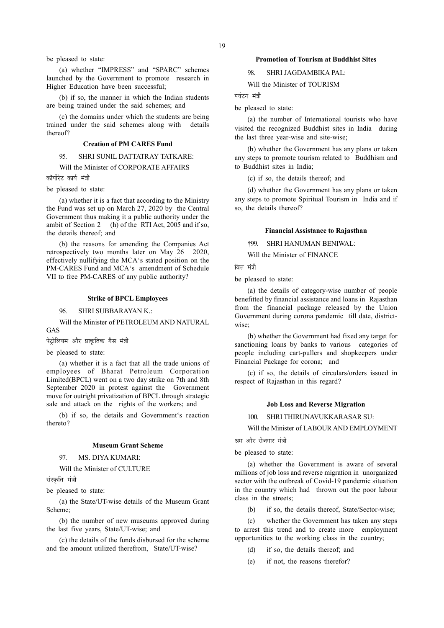be pleased to state:

(a) whether "IMPRESS" and "SPARC" schemes launched by the Government to promote research in Higher Education have been successful;

(b) if so, the manner in which the Indian students are being trained under the said schemes; and

(c) the domains under which the students are being trained under the said schemes along with details thereof?

### Creation of PM CARES Fund

95. SHRI SUNIL DATTATRAY TATKARE:

Will the Minister of CORPORATE AFFAIRS

कॉर्पोरेट कार्य मंत्री

be pleased to state:

(a) whether it is a fact that according to the Ministry the Fund was set up on March 27, 2020 by the Central Government thus making it a public authority under the ambit of Section 2 (h) of the RTI Act, 2005 and if so, the details thereof; and

(b) the reasons for amending the Companies Act retrospectively two months later on May 26 2020, effectively nullifying the MCA's stated position on the PM-CARES Fund and MCA's amendment of Schedule VII to free PM-CARES of any public authority?

# Strike of BPCL Employees

96. SHRI SUBBARAYAN K.:

Will the Minister of PETROLEUM AND NATURAL GAS

पेटोलियम और प्राकृतिक गैस मंत्री

be pleased to state:

(a) whether it is a fact that all the trade unions of employees of Bharat Petroleum Corporation Limited(BPCL) went on a two day strike on 7th and 8th September 2020 in protest against the Government move for outright privatization of BPCL through strategic sale and attack on the rights of the workers; and

(b) if so, the details and Government's reaction thereto?

# Museum Grant Scheme

97. MS. DIYA KUMARI:

Will the Minister of CULTURE

संस्कृति मंत्री

be pleased to state:

(a) the State/UT-wise details of the Museum Grant Scheme;

(b) the number of new museums approved during the last five years, State/UT-wise; and

(c) the details of the funds disbursed for the scheme and the amount utilized therefrom, State/UT-wise?

## Promotion of Tourism at Buddhist Sites

98. SHRI JAGDAMBIKA PAL:

Will the Minister of TOURISM

पर्यटन मंत्री

be pleased to state:

(a) the number of International tourists who have visited the recognized Buddhist sites in India during the last three year-wise and site-wise;

(b) whether the Government has any plans or taken any steps to promote tourism related to Buddhism and to Buddhist sites in India;

(c) if so, the details thereof; and

(d) whether the Government has any plans or taken any steps to promote Spiritual Tourism in India and if so, the details thereof?

# Financial Assistance to Rajasthan

†99. SHRI HANUMAN BENIWAL:

Will the Minister of FINANCE

ਕਿਜ ਸ਼ੱਤੀ

be pleased to state:

(a) the details of category-wise number of people benefitted by financial assistance and loans in Rajasthan from the financial package released by the Union Government during corona pandemic till date, districtwise;

(b) whether the Government had fixed any target for sanctioning loans by banks to various categories of people including cart-pullers and shopkeepers under Financial Package for corona; and

(c) if so, the details of circulars/orders issued in respect of Rajasthan in this regard?

# Job Loss and Reverse Migration

100. SHRI THIRUNAVUKKARASAR SU:

Will the Minister of LABOUR AND EMPLOYMENT

श्रम और रोजगार मंत्री

be pleased to state:

(a) whether the Government is aware of several millions of job loss and reverse migration in unorganized sector with the outbreak of Covid-19 pandemic situation in the country which had thrown out the poor labour class in the streets;

(b) if so, the details thereof, State/Sector-wise;

(c) whether the Government has taken any steps to arrest this trend and to create more employment opportunities to the working class in the country;

- (d) if so, the details thereof; and
- (e) if not, the reasons therefor?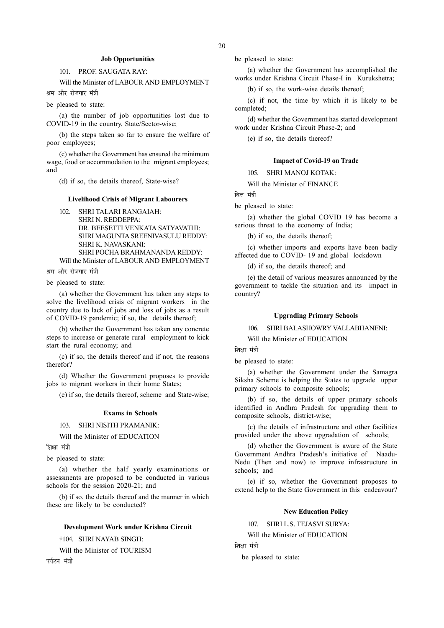# Job Opportunities

# 101. PROF. SAUGATA RAY:

Will the Minister of LABOUR AND EMPLOYMENT श्रम और रोजगार मंत्री

be pleased to state:

(a) the number of job opportunities lost due to COVID-19 in the country, State/Sector-wise;

(b) the steps taken so far to ensure the welfare of poor employees;

(c) whether the Government has ensured the minimum wage, food or accommodation to the migrant employees; and

(d) if so, the details thereof, State-wise?

# Livelihood Crisis of Migrant Labourers

102. SHRI TALARI RANGAIAH: SHRI N. REDDEPPA: DR. BEESETTI VENKATA SATYAVATHI: SHRI MAGUNTA SREENIVASULU REDDY: SHRI K. NAVASKANI: SHRI POCHA BRAHMANANDA REDDY:

Will the Minister of LABOUR AND EMPLOYMENT

श्रम और रोजगार मंत्री

be pleased to state:

(a) whether the Government has taken any steps to solve the livelihood crisis of migrant workers in the country due to lack of jobs and loss of jobs as a result of COVID-19 pandemic; if so, the details thereof;

(b) whether the Government has taken any concrete steps to increase or generate rural employment to kick start the rural economy; and

(c) if so, the details thereof and if not, the reasons therefor?

(d) Whether the Government proposes to provide jobs to migrant workers in their home States;

(e) if so, the details thereof, scheme and State-wise;

# Exams in Schools

# 103. SHRI NISITH PRAMANIK:

Will the Minister of EDUCATION

शिक्षा मंत्री

be pleased to state:

(a) whether the half yearly examinations or assessments are proposed to be conducted in various schools for the session 2020-21; and

(b) if so, the details thereof and the manner in which these are likely to be conducted?

# Development Work under Krishna Circuit

†104. SHRI NAYAB SINGH:

Will the Minister of TOURISM

पर्यटन मंत्री

be pleased to state:

(a) whether the Government has accomplished the works under Krishna Circuit Phase-I in Kurukshetra;

(b) if so, the work-wise details thereof;

(c) if not, the time by which it is likely to be completed;

(d) whether the Government has started development work under Krishna Circuit Phase-2; and

(e) if so, the details thereof?

# Impact of Covid-19 on Trade

105. SHRI MANOJ KOTAK:

Will the Minister of FINANCE

वित्त मंत्री

be pleased to state:

(a) whether the global COVID 19 has become a serious threat to the economy of India;

(b) if so, the details thereof;

(c) whether imports and exports have been badly affected due to COVID- 19 and global lockdown

(d) if so, the details thereof; and

(e) the detail of various measures announced by the government to tackle the situation and its impact in country?

## Upgrading Primary Schools

106. SHRI BALASHOWRY VALLABHANENI:

Will the Minister of EDUCATION

णिश्रा मंत्री

be pleased to state:

(a) whether the Government under the Samagra Siksha Scheme is helping the States to upgrade upper primary schools to composite schools;

(b) if so, the details of upper primary schools identified in Andhra Pradesh for upgrading them to composite schools, district-wise;

(c) the details of infrastructure and other facilities provided under the above upgradation of schools;

(d) whether the Government is aware of the State Government Andhra Pradesh's initiative of Naadu-Nedu (Then and now) to improve infrastructure in schools; and

(e) if so, whether the Government proposes to extend help to the State Government in this endeavour?

# New Education Policy

107. SHRI L.S. TEJASVI SURYA:

Will the Minister of EDUCATION

शिक्षा मंत्री

be pleased to state: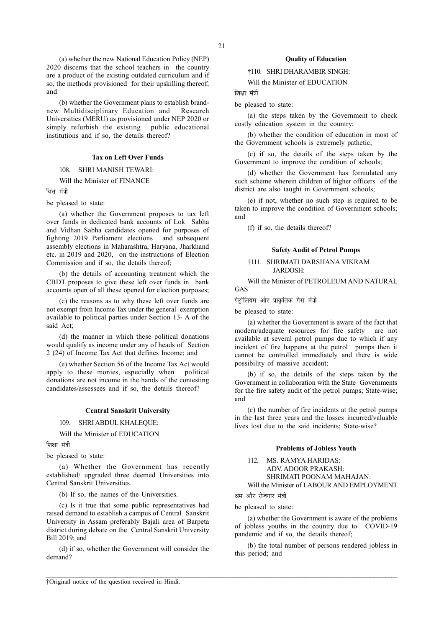(a) whether the new National Education Policy (NEP) 2020 discerns that the school teachers in the country are a product of the existing outdated curriculum and if so, the methods provisioned for their upskilling thereof; and

(b) whether the Government plans to establish brandnew Multidisciplinary Education and Research Universities (MERU) as provisioned under NEP 2020 or simply refurbish the existing public educational institutions and if so, the details thereof?

## Tax on Left Over Funds

108. SHRI MANISH TEWARI:

Will the Minister of FINANCE

वित्त मंत्री

be pleased to state:

(a) whether the Government proposes to tax left over funds in dedicated bank accounts of Lok Sabha and Vidhan Sabha candidates opened for purposes of fighting 2019 Parliament elections and subsequent assembly elections in Maharashtra, Haryana, Jharkhand etc. in 2019 and 2020, on the instructions of Election Commission and if so, the details thereof;

(b) the details of accounting treatment which the CBDT proposes to give these left over funds in bank accounts open of all these opened for election purposes;

(c) the reasons as to why these left over funds are not exempt from Income Tax under the general exemption available to political parties under Section 13- A of the said Act;

(d) the manner in which these political donations would qualify as income under any of heads of Section 2 (24) of Income Tax Act that defines Income; and

(e) whether Section 56 of the Income Tax Act would apply to these monies, especially when political donations are not income in the hands of the contesting candidates/assessees and if so, the details thereof?

### Central Sanskrit University

#### 109. SHRI ABDUL KHALEQUE:

Will the Minister of EDUCATION

शिक्षा मंत्री

be pleased to state:

(a) Whether the Government has recently established/ upgraded three deemed Universities into Central Sanskrit Universities.

(b) If so, the names of the Universities.

(c) Is it true that some public representatives had raised demand to establish a campus of Central Sanskrit University in Assam preferably Bajali area of Barpeta district during debate on the Central Sanskrit University Bill 2019; and

(d) if so, whether the Government will consider the demand?

#### Quality of Education

†110. SHRI DHARAMBIR SINGH:

Will the Minister of EDUCATION

णिश्रा मंत्री

be pleased to state:

(a) the steps taken by the Government to check costly education system in the country;

(b) whether the condition of education in most of the Government schools is extremely pathetic;

(c) if so, the details of the steps taken by the Government to improve the condition of schools;

(d) whether the Government has formulated any such scheme wherein children of higher officers of the district are also taught in Government schools;

(e) if not, whether no such step is required to be taken to improve the condition of Government schools; and

(f) if so, the details thereof?

# Safety Audit of Petrol Pumps

# †111. SHRIMATI DARSHANA VIKRAM JARDOSH:

Will the Minister of PETROLEUM AND NATURAL GAS

.<br>पेटोलियम और प्राकृतिक गैस मंत्री

be pleased to state:

(a) whether the Government is aware of the fact that modern/adequate resources for fire safety are not available at several petrol pumps due to which if any incident of fire happens at the petrol pumps then it cannot be controlled immediately and there is wide possibility of massive accident;

(b) if so, the details of the steps taken by the Government in collaboration with the State Governments for the fire safety audit of the petrol pumps; State-wise; and

(c) the number of fire incidents at the petrol pumps in the last three years and the losses incurred/valuable lives lost due to the said incidents; State-wise?

# Problems of Jobless Youth

112. MS. RAMYA HARIDAS: ADV. ADOOR PRAKASH: SHRIMATI POONAM MAHAJAN: Will the Minister of LABOUR AND EMPLOYMENT

श्रम और रोजगार मंत्री

 $\mathcal{L} = \{ \mathcal{L} = \{ \mathcal{L} = \{ \mathcal{L} = \{ \mathcal{L} = \{ \mathcal{L} = \{ \mathcal{L} = \{ \mathcal{L} = \{ \mathcal{L} = \{ \mathcal{L} = \{ \mathcal{L} = \{ \mathcal{L} = \{ \mathcal{L} = \{ \mathcal{L} = \{ \mathcal{L} = \{ \mathcal{L} = \{ \mathcal{L} = \{ \mathcal{L} = \{ \mathcal{L} = \{ \mathcal{L} = \{ \mathcal{L} = \{ \mathcal{L} = \{ \mathcal{L} = \{ \mathcal{L} = \{ \mathcal{$ 

be pleased to state:

(a) whether the Government is aware of the problems of jobless youths in the country due to COVID-19 pandemic and if so, the details thereof;

(b) the total number of persons rendered jobless in this period; and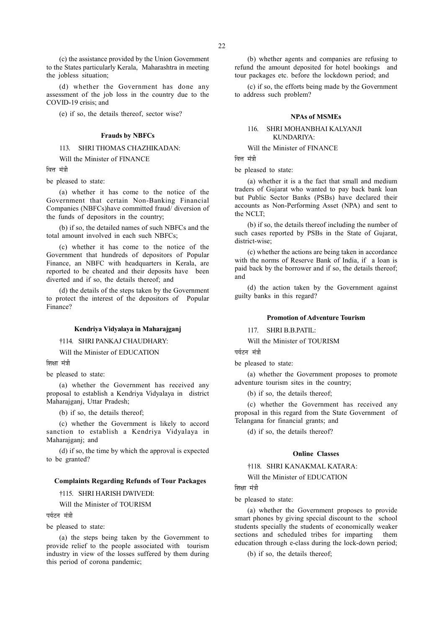(c) the assistance provided by the Union Government to the States particularly Kerala, Maharashtra in meeting the jobless situation;

(d) whether the Government has done any assessment of the job loss in the country due to the COVID-19 crisis; and

(e) if so, the details thereof, sector wise?

## Frauds by NBFCs

# 113. SHRI THOMAS CHAZHIKADAN:

Will the Minister of FINANCE

ਕਿਜ ਸ਼<mark>ਂ</mark>ਤੀ

be pleased to state:

(a) whether it has come to the notice of the Government that certain Non-Banking Financial Companies (NBFCs)have committed fraud/ diversion of the funds of depositors in the country;

(b) if so, the detailed names of such NBFCs and the total amount involved in each such NBFCs;

(c) whether it has come to the notice of the Government that hundreds of depositors of Popular Finance, an NBFC with headquarters in Kerala, are reported to be cheated and their deposits have been diverted and if so, the details thereof; and

(d) the details of the steps taken by the Government to protect the interest of the depositors of Popular Finance?

## Kendriya Vidyalaya in Maharajganj

†114. SHRI PANKAJ CHAUDHARY:

Will the Minister of EDUCATION

शिक्षा मंत्री

be pleased to state:

(a) whether the Government has received any proposal to establish a Kendriya Vidyalaya in district Maharajganj, Uttar Pradesh;

(b) if so, the details thereof;

(c) whether the Government is likely to accord sanction to establish a Kendriya Vidyalaya in Maharajganj; and

(d) if so, the time by which the approval is expected to be granted?

## Complaints Regarding Refunds of Tour Packages

†115. SHRI HARISH DWIVEDI:

Will the Minister of TOURISM

पर्यटन मंत्री

be pleased to state:

(a) the steps being taken by the Government to provide relief to the people associated with tourism industry in view of the losses suffered by them during this period of corona pandemic;

(b) whether agents and companies are refusing to refund the amount deposited for hotel bookings and tour packages etc. before the lockdown period; and

(c) if so, the efforts being made by the Government to address such problem?

#### NPAs of MSMEs

# 116. SHRI MOHANBHAI KALYANJI KUNDARIYA:

Will the Minister of FINANCE

वित्त मंत्री

be pleased to state:

(a) whether it is a the fact that small and medium traders of Gujarat who wanted to pay back bank loan but Public Sector Banks (PSBs) have declared their accounts as Non-Performing Asset (NPA) and sent to the NCLT;

(b) if so, the details thereof including the number of such cases reported by PSBs in the State of Gujarat, district-wise;

(c) whether the actions are being taken in accordance with the norms of Reserve Bank of India, if a loan is paid back by the borrower and if so, the details thereof; and

(d) the action taken by the Government against guilty banks in this regard?

#### Promotion of Adventure Tourism

117. SHRI B.B.PATIL:

Will the Minister of TOURISM

पर्यटन मंत्री

be pleased to state:

(a) whether the Government proposes to promote adventure tourism sites in the country;

(b) if so, the details thereof;

(c) whether the Government has received any proposal in this regard from the State Government of Telangana for financial grants; and

(d) if so, the details thereof?

#### Online Classes

†118. SHRI KANAKMAL KATARA:

Will the Minister of EDUCATION

शिक्षा मंत्री

be pleased to state:

(a) whether the Government proposes to provide smart phones by giving special discount to the school students specially the students of economically weaker sections and scheduled tribes for imparting them education through e-class during the lock-down period;

(b) if so, the details thereof;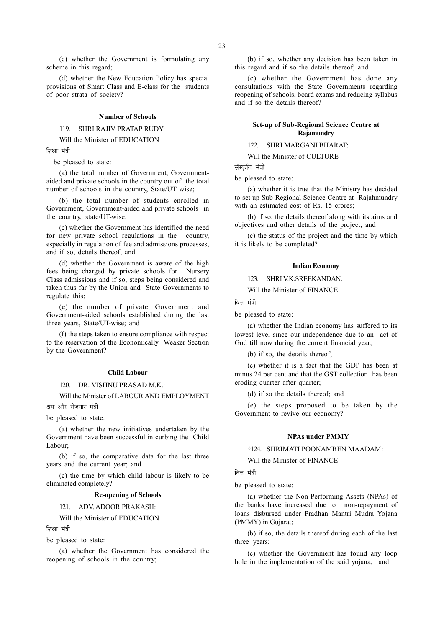(c) whether the Government is formulating any scheme in this regard;

(d) whether the New Education Policy has special provisions of Smart Class and E-class for the students of poor strata of society?

#### Number of Schools

119. SHRI RAJIV PRATAP RUDY:

Will the Minister of EDUCATION

शिक्षा मंत्री

be pleased to state:

(a) the total number of Government, Governmentaided and private schools in the country out of the total number of schools in the country, State/UT wise;

(b) the total number of students enrolled in Government, Government-aided and private schools in the country, state/UT-wise;

(c) whether the Government has identified the need for new private school regulations in the country, especially in regulation of fee and admissions processes, and if so, details thereof; and

(d) whether the Government is aware of the high fees being charged by private schools for Nursery Class admissions and if so, steps being considered and taken thus far by the Union and State Governments to regulate this;

(e) the number of private, Government and Government-aided schools established during the last three years, State/UT-wise; and

(f) the steps taken to ensure compliance with respect to the reservation of the Economically Weaker Section by the Government?

#### Child Labour

120. DR. VISHNU PRASAD M.K.:

Will the Minister of LABOUR AND EMPLOYMENT

श्रम और रोजगार मंत्री

be pleased to state:

(a) whether the new initiatives undertaken by the Government have been successful in curbing the Child Labour;

(b) if so, the comparative data for the last three years and the current year; and

(c) the time by which child labour is likely to be eliminated completely?

#### Re-opening of Schools

121. ADV. ADOOR PRAKASH:

Will the Minister of EDUCATION

णिश्ला मंत्री

be pleased to state:

(a) whether the Government has considered the reopening of schools in the country;

(b) if so, whether any decision has been taken in this regard and if so the details thereof; and

(c) whether the Government has done any consultations with the State Governments regarding reopening of schools, board exams and reducing syllabus and if so the details thereof?

# Set-up of Sub-Regional Science Centre at Rajamundry

122. SHRI MARGANI BHARAT:

Will the Minister of CULTURE

संस्कृति मंत्री

be pleased to state:

(a) whether it is true that the Ministry has decided to set up Sub-Regional Science Centre at Rajahmundry with an estimated cost of Rs. 15 crores;

(b) if so, the details thereof along with its aims and objectives and other details of the project; and

(c) the status of the project and the time by which it is likely to be completed?

#### Indian Economy

123. SHRI V.K.SREEKANDAN:

Will the Minister of FINANCE

वित्त मंत्री

be pleased to state:

(a) whether the Indian economy has suffered to its lowest level since our independence due to an act of God till now during the current financial year;

(b) if so, the details thereof;

(c) whether it is a fact that the GDP has been at minus 24 per cent and that the GST collection has been eroding quarter after quarter;

(d) if so the details thereof; and

(e) the steps proposed to be taken by the Government to revive our economy?

## NPAs under PMMY

†124. SHRIMATI POONAMBEN MAADAM:

Will the Minister of FINANCE

ਕਿਜ ਸ਼ੱਤੀ

be pleased to state:

(a) whether the Non-Performing Assets (NPAs) of the banks have increased due to non-repayment of loans disbursed under Pradhan Mantri Mudra Yojana (PMMY) in Gujarat;

(b) if so, the details thereof during each of the last three years;

(c) whether the Government has found any loop hole in the implementation of the said yojana; and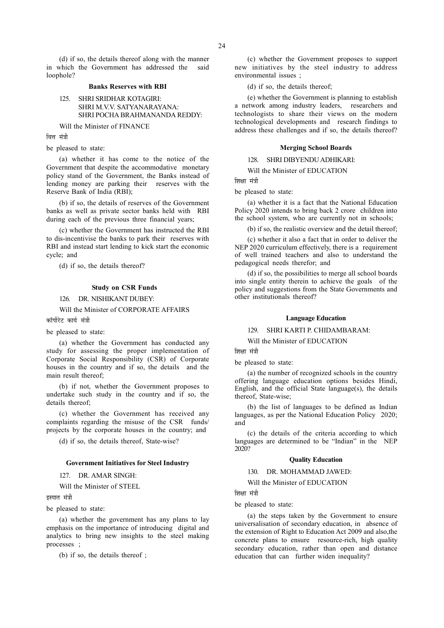(d) if so, the details thereof along with the manner in which the Government has addressed the said loophole?

# Banks Reserves with RBI

# 125. SHRI SRIDHAR KOTAGIRI: SHRI M.V.V. SATYANARAYANA: SHRI POCHA BRAHMANANDA REDDY:

Will the Minister of FINANCE

ਕਿ<del>ਤ</del> ਧੰਤੀ

be pleased to state:

(a) whether it has come to the notice of the Government that despite the accommodative monetary policy stand of the Government, the Banks instead of lending money are parking their reserves with the Reserve Bank of India (RBI);

(b) if so, the details of reserves of the Government banks as well as private sector banks held with RBI during each of the previous three financial years;

(c) whether the Government has instructed the RBI to dis-incentivise the banks to park their reserves with RBI and instead start lending to kick start the economic cycle; and

(d) if so, the details thereof?

## Study on CSR Funds

126. DR. NISHIKANT DUBEY:

Will the Minister of CORPORATE AFFAIRS

कॉर्पोरेट कार्य मंत्री

## be pleased to state:

(a) whether the Government has conducted any study for assessing the proper implementation of Corporate Social Responsibility (CSR) of Corporate houses in the country and if so, the details and the main result thereof;

(b) if not, whether the Government proposes to undertake such study in the country and if so, the details thereof;

(c) whether the Government has received any complaints regarding the misuse of the CSR funds/ projects by the corporate houses in the country; and

(d) if so, the details thereof, State-wise?

# Government Initiatives for Steel Industry

127. DR. AMAR SINGH:

Will the Minister of STEEL

इस्पात मंत्री

be pleased to state:

(a) whether the government has any plans to lay emphasis on the importance of introducing digital and analytics to bring new insights to the steel making processes ;

(b) if so, the details thereof ;

(c) whether the Government proposes to support new initiatives by the steel industry to address environmental issues ;

(d) if so, the details thereof;

(e) whether the Government is planning to establish a network among industry leaders, researchers and technologists to share their views on the modern technological developments and research findings to address these challenges and if so, the details thereof?

#### Merging School Boards

128. SHRI DIBYENDU ADHIKARI:

Will the Minister of EDUCATION

णिश्रा मंत्री

be pleased to state:

(a) whether it is a fact that the National Education Policy 2020 intends to bring back 2 crore children into the school system, who are currently not in schools;

(b) if so, the realistic overview and the detail thereof;

(c) whether it also a fact that in order to deliver the NEP 2020 curriculum effectively, there is a requirement of well trained teachers and also to understand the pedagogical needs therefor; and

(d) if so, the possibilities to merge all school boards into single entity therein to achieve the goals of the policy and suggestions from the State Governments and other institutionals thereof?

# Language Education

129. SHRI KARTI P. CHIDAMBARAM:

Will the Minister of EDUCATION

शिक्षा मंत्री

be pleased to state:

(a) the number of recognized schools in the country offering language education options besides Hindi, English, and the official State language $(s)$ , the details thereof, State-wise;

(b) the list of languages to be defined as Indian languages, as per the National Education Policy 2020; and

(c) the details of the criteria according to which languages are determined to be "Indian" in the NEP 2020?

#### Quality Education

130. DR. MOHAMMAD JAWED:

Will the Minister of EDUCATION

शिक्षा मंत्री

be pleased to state:

(a) the steps taken by the Government to ensure universalisation of secondary education, in absence of the extension of Right to Education Act 2009 and also,the concrete plans to ensure resource-rich, high quality secondary education, rather than open and distance education that can further widen inequality?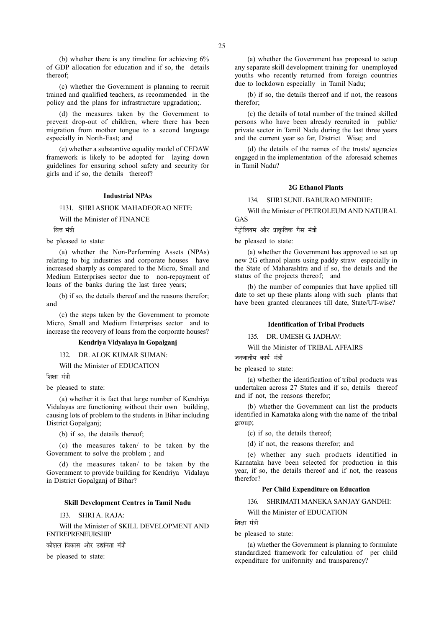(c) whether the Government is planning to recruit trained and qualified teachers, as recommended in the policy and the plans for infrastructure upgradation;.

(d) the measures taken by the Government to prevent drop-out of children, where there has been migration from mother tongue to a second language especially in North-East; and

(e) whether a substantive equality model of CEDAW framework is likely to be adopted for laying down guidelines for ensuring school safety and security for girls and if so, the details thereof?

# Industrial NPAs

†131. SHRI ASHOK MAHADEORAO NETE:

Will the Minister of FINANCE

वित्त मंत्री

be pleased to state:

(a) whether the Non-Performing Assets (NPAs) relating to big industries and corporate houses have increased sharply as compared to the Micro, Small and Medium Enterprises sector due to non-repayment of loans of the banks during the last three years;

(b) if so, the details thereof and the reasons therefor; and

(c) the steps taken by the Government to promote Micro, Small and Medium Enterprises sector and to increase the recovery of loans from the corporate houses?

# Kendriya Vidyalaya in Gopalganj

132. DR. ALOK KUMAR SUMAN:

Will the Minister of EDUCATION

शिक्षा मंत्री

be pleased to state:

(a) whether it is fact that large number of Kendriya Vidalayas are functioning without their own building, causing lots of problem to the students in Bihar including District Gopalganj;

(b) if so, the details thereof;

(c) the measures taken/ to be taken by the Government to solve the problem ; and

(d) the measures taken/ to be taken by the Government to provide building for Kendriya Vidalaya in District Gopalganj of Bihar?

# Skill Development Centres in Tamil Nadu

133. SHRI A. RAJA:

Will the Minister of SKILL DEVELOPMENT AND ENTREPRENEURSHIP

<u>कौशल विकास और उद्यमिता मंत्री</u>

be pleased to state:

25

(a) whether the Government has proposed to setup any separate skill development training for unemployed youths who recently returned from foreign countries due to lockdown especially in Tamil Nadu;

(b) if so, the details thereof and if not, the reasons therefor;

(c) the details of total number of the trained skilled persons who have been already recruited in public/ private sector in Tamil Nadu during the last three years and the current year so far, District Wise; and

(d) the details of the names of the trusts/ agencies engaged in the implementation of the aforesaid schemes in Tamil Nadu?

#### 2G Ethanol Plants

134. SHRI SUNIL BABURAO MENDHE:

Will the Minister of PETROLEUM AND NATURAL GAS

पेट्रोलियम और प्राकृतिक गैस मंत्री

be pleased to state:

(a) whether the Government has approved to set up new 2G ethanol plants using paddy straw especially in the State of Maharashtra and if so, the details and the status of the projects thereof; and

(b) the number of companies that have applied till date to set up these plants along with such plants that have been granted clearances till date, State/UT-wise?

#### Identification of Tribal Products

135. DR. UMESH G. JADHAV:

Will the Minister of TRIBAL AFFAIRS

जनजातीय कार्य मंत्री

be pleased to state:

(a) whether the identification of tribal products was undertaken across 27 States and if so, details thereof and if not, the reasons therefor;

(b) whether the Government can list the products identified in Karnataka along with the name of the tribal group;

(c) if so, the details thereof;

(d) if not, the reasons therefor; and

(e) whether any such products identified in Karnataka have been selected for production in this year, if so, the details thereof and if not, the reasons therefor?

#### Per Child Expenditure on Education

136. SHRIMATI MANEKA SANJAY GANDHI:

Will the Minister of EDUCATION

शिक्षा मंत्री

be pleased to state:

(a) whether the Government is planning to formulate standardized framework for calculation of per child expenditure for uniformity and transparency?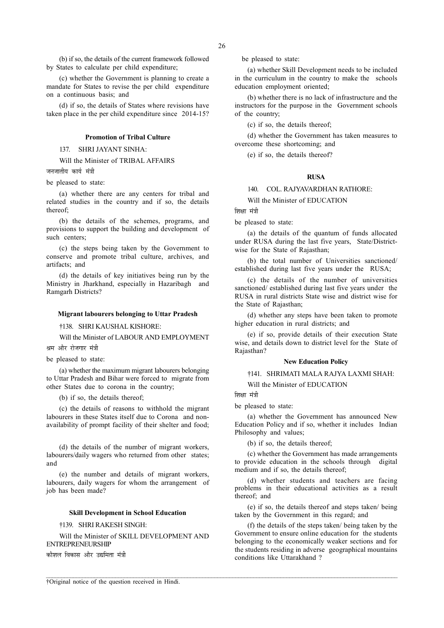(b) if so, the details of the current framework followed by States to calculate per child expenditure;

(c) whether the Government is planning to create a mandate for States to revise the per child expenditure on a continuous basis; and

(d) if so, the details of States where revisions have taken place in the per child expenditure since 2014-15?

#### Promotion of Tribal Culture

137. SHRI JAYANT SINHA:

Will the Minister of TRIBAL AFFAIRS

जनजातीय कार्य मंत्री

be pleased to state:

(a) whether there are any centers for tribal and related studies in the country and if so, the details thereof;

(b) the details of the schemes, programs, and provisions to support the building and development of such centers;

(c) the steps being taken by the Government to conserve and promote tribal culture, archives, and artifacts; and

(d) the details of key initiatives being run by the Ministry in Jharkhand, especially in Hazaribagh and Ramgarh Districts?

# Migrant labourers belonging to Uttar Pradesh

†138. SHRI KAUSHAL KISHORE:

Will the Minister of LABOUR AND EMPLOYMENT

श्रम और रोजगार मंत्री

be pleased to state:

(a) whether the maximum migrant labourers belonging to Uttar Pradesh and Bihar were forced to migrate from other States due to corona in the country;

(b) if so, the details thereof;

(c) the details of reasons to withhold the migrant labourers in these States itself due to Corona and nonavailability of prompt facility of their shelter and food;

(d) the details of the number of migrant workers, labourers/daily wagers who returned from other states; and

(e) the number and details of migrant workers, labourers, daily wagers for whom the arrangement of job has been made?

# Skill Development in School Education

# †139. SHRI RAKESH SINGH:

Will the Minister of SKILL DEVELOPMENT AND ENTREPRENEURSHIP कौशल विकास और उद्यमिता मंत्री

be pleased to state:

(a) whether Skill Development needs to be included in the curriculum in the country to make the schools education employment oriented;

(b) whether there is no lack of infrastructure and the instructors for the purpose in the Government schools of the country;

(c) if so, the details thereof;

(d) whether the Government has taken measures to overcome these shortcoming; and

(e) if so, the details thereof?

# RUSA

# 140. COL. RAJYAVARDHAN RATHORE:

Will the Minister of EDUCATION

शिक्षा मंत्री

be pleased to state:

(a) the details of the quantum of funds allocated under RUSA during the last five years, State/Districtwise for the State of Rajasthan;

(b) the total number of Universities sanctioned/ established during last five years under the RUSA;

(c) the details of the number of universities sanctioned/ established during last five years under the RUSA in rural districts State wise and district wise for the State of Rajasthan;

(d) whether any steps have been taken to promote higher education in rural districts; and

(e) if so, provide details of their execution State wise, and details down to district level for the State of Rajasthan?

# New Education Policy

†141. SHRIMATI MALA RAJYA LAXMI SHAH:

Will the Minister of EDUCATION

शिक्षा मंत्री

 $\mathcal{L} = \{ \mathcal{L} = \{ \mathcal{L} = \{ \mathcal{L} = \{ \mathcal{L} = \{ \mathcal{L} = \{ \mathcal{L} = \{ \mathcal{L} = \{ \mathcal{L} = \{ \mathcal{L} = \{ \mathcal{L} = \{ \mathcal{L} = \{ \mathcal{L} = \{ \mathcal{L} = \{ \mathcal{L} = \{ \mathcal{L} = \{ \mathcal{L} = \{ \mathcal{L} = \{ \mathcal{L} = \{ \mathcal{L} = \{ \mathcal{L} = \{ \mathcal{L} = \{ \mathcal{L} = \{ \mathcal{L} = \{ \mathcal{$ 

be pleased to state:

(a) whether the Government has announced New Education Policy and if so, whether it includes Indian Philosophy and values;

(b) if so, the details thereof;

(c) whether the Government has made arrangements to provide education in the schools through digital medium and if so, the details thereof;

(d) whether students and teachers are facing problems in their educational activities as a result thereof; and

(e) if so, the details thereof and steps taken/ being taken by the Government in this regard; and

(f) the details of the steps taken/ being taken by the Government to ensure online education for the students belonging to the economically weaker sections and for the students residing in adverse geographical mountains conditions like Uttarakhand ?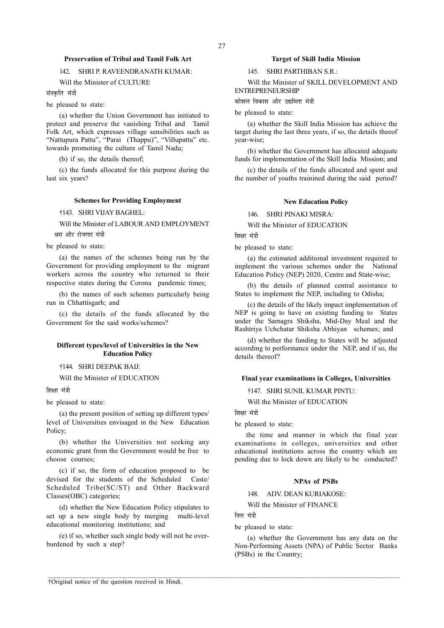# Preservation of Tribal and Tamil Folk Art

# 142. SHRI P. RAVEENDRANATH KUMAR:

# Will the Minister of CULTURE

संस्कृति मंत्री

be pleased to state:

(a) whether the Union Government has initiated to protect and preserve the vanishing Tribal and Tamil Folk Art, which expresses village sensibilities such as "Nattupura Pattu", "Parai (Thappu)", "Villupattu" etc. towards promoting the culture of Tamil Nadu;

(b) if so, the details thereof;

(c) the funds allocated for this purpose during the last six years?

## Schemes for Providing Employment

†143. SHRI VIJAY BAGHEL:

Will the Minister of LABOUR AND EMPLOYMENT श्रम और रोजगार मंत्री

be pleased to state:

(a) the names of the schemes being run by the Government for providing employment to the migrant workers across the country who returned to their respective states during the Corona pandemic times;

(b) the names of such schemes particularly being run in Chhattisgarh; and

(c) the details of the funds allocated by the Government for the said works/schemes?

# Different types/level of Universities in the New Education Policy

†144. SHRI DEEPAK BAIJ:

Will the Minister of EDUCATION

## शिक्षा मंत्री

be pleased to state:

(a) the present position of setting up different types/ level of Universities envisaged in the New Education Policy;

(b) whether the Universities not seeking any economic grant from the Government would be free to choose courses;

(c) if so, the form of education proposed to be devised for the students of the Scheduled Caste/ Scheduled Tribe(SC/ST) and Other Backward Classes(OBC) categories;

(d) whether the New Education Policy stipulates to set up a new single body by merging multi-level educational monitoring institutions; and

(e) if so, whether such single body will not be overburdened by such a step?

# Target of Skill India Mission

145. SHRI PARTHIBAN S.R.:

Will the Minister of SKILL DEVELOPMENT AND ENTREPRENEURSHIP

कौशल विकास और उद्यमिता मंत्री

be pleased to state:

(a) whether the Skill India Mission has achieve the target during the last three years, if so, the details theeof year-wise;

(b) whether the Government has allocated adequate funds for implementation of the Skill India Mission; and

(c) the details of the funds allocated and spent and the number of youths trainined during the said period?

#### New Education Policy

146. SHRI PINAKI MISRA:

Will the Minister of EDUCATION

शिक्षा मंत्री

be pleased to state:

(a) the estimated additional investment required to implement the various schemes under the National Education Policy (NEP) 2020, Centre and State-wise;

(b) the details of planned central assistance to States to implement the NEP, including to Odisha;

(c) the details of the likely impact implementation of NEP is going to have on existing funding to States under the Samagra Shiksha, Mid-Day Meal and the Rashtriya Uchchatar Shiksha Abhiyan schemes; and

(d) whether the funding to States will be adjusted according to performance under the NEP, and if so, the details thereof?

# Final year examinations in Colleges, Universities

†147. SHRI SUNIL KUMAR PINTU:

Will the Minister of EDUCATION

शिक्षा मंत्री

be pleased to state:

 the time and manner in which the final year examinations in colleges, universities and other educational institutions across the country which are pending due to lock down are likely to be conducted?

## NPAs of PSBs

# 148. ADV. DEAN KURIAKOSE:

Will the Minister of FINANCE

वित्त मंत्री

 $\mathcal{L} = \{ \mathcal{L} = \{ \mathcal{L} = \{ \mathcal{L} = \{ \mathcal{L} = \{ \mathcal{L} = \{ \mathcal{L} = \{ \mathcal{L} = \{ \mathcal{L} = \{ \mathcal{L} = \{ \mathcal{L} = \{ \mathcal{L} = \{ \mathcal{L} = \{ \mathcal{L} = \{ \mathcal{L} = \{ \mathcal{L} = \{ \mathcal{L} = \{ \mathcal{L} = \{ \mathcal{L} = \{ \mathcal{L} = \{ \mathcal{L} = \{ \mathcal{L} = \{ \mathcal{L} = \{ \mathcal{L} = \{ \mathcal{$ 

be pleased to state:

(a) whether the Government has any data on the Non-Performing Assets (NPA) of Public Sector Banks (PSBs) in the Country;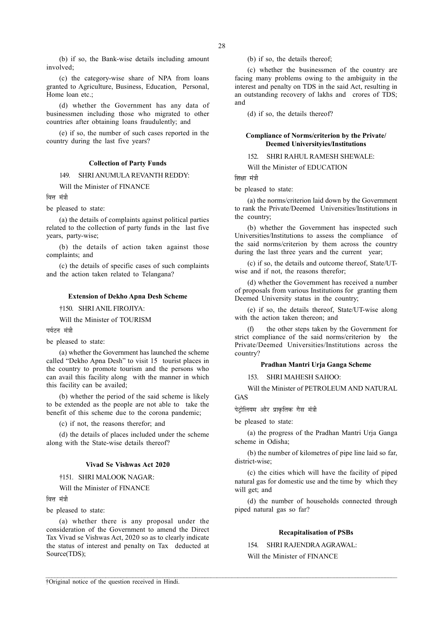(b) if so, the Bank-wise details including amount involved;

(c) the category-wise share of NPA from loans granted to Agriculture, Business, Education, Personal, Home loan etc.;

(d) whether the Government has any data of businessmen including those who migrated to other countries after obtaining loans fraudulently; and

(e) if so, the number of such cases reported in the country during the last five years?

# Collection of Party Funds

149. SHRI ANUMULA REVANTH REDDY:

Will the Minister of FINANCE

ਕਿਜ ਸੰਗੀ

be pleased to state:

(a) the details of complaints against political parties related to the collection of party funds in the last five years, party-wise;

(b) the details of action taken against those complaints; and

(c) the details of specific cases of such complaints and the action taken related to Telangana?

#### Extension of Dekho Apna Desh Scheme

†150. SHRI ANIL FIROJIYA:

Will the Minister of TOURISM

पर्यटन मंत्री

be pleased to state:

(a) whether the Government has launched the scheme called "Dekho Apna Desh" to visit 15 tourist places in the country to promote tourism and the persons who can avail this facility along with the manner in which this facility can be availed;

(b) whether the period of the said scheme is likely to be extended as the people are not able to take the benefit of this scheme due to the corona pandemic;

(c) if not, the reasons therefor; and

(d) the details of places included under the scheme along with the State-wise details thereof?

#### Vivad Se Vishwas Act 2020

†151. SHRI MALOOK NAGAR:

Will the Minister of FINANCE

वित्त मंत्री

be pleased to state:

(a) whether there is any proposal under the consideration of the Government to amend the Direct Tax Vivad se Vishwas Act, 2020 so as to clearly indicate the status of interest and penalty on Tax deducted at Source(TDS);

(b) if so, the details thereof;

(c) whether the businessmen of the country are facing many problems owing to the ambiguity in the interest and penalty on TDS in the said Act, resulting in an outstanding recovery of lakhs and crores of TDS; and

(d) if so, the details thereof?

# Compliance of Norms/criterion by the Private/ Deemed Universityies/Institutions

152. SHRI RAHUL RAMESH SHEWALE:

Will the Minister of EDUCATION

शिक्षा मंत्री

be pleased to state:

(a) the norms/criterion laid down by the Government to rank the Private/Deemed Universities/Institutions in the country;

(b) whether the Government has inspected such Universities/Institutions to assess the compliance of the said norms/criterion by them across the country during the last three years and the current year;

(c) if so, the details and outcome thereof, State/UTwise and if not, the reasons therefor:

(d) whether the Government has received a number of proposals from various Institutions for granting them Deemed University status in the country;

(e) if so, the details thereof, State/UT-wise along with the action taken thereon; and

the other steps taken by the Government for strict compliance of the said norms/criterion by the Private/Deemed Universities/Institutions across the country?

# Pradhan Mantri Urja Ganga Scheme

153. SHRI MAHESH SAHOO:

Will the Minister of PETROLEUM AND NATURAL GAS

पेट्रोलियम और प्राकृतिक गैस मंत्री

be pleased to state:

(a) the progress of the Pradhan Mantri Urja Ganga scheme in Odisha;

(b) the number of kilometres of pipe line laid so far, district-wise;

(c) the cities which will have the facility of piped natural gas for domestic use and the time by which they will get; and

(d) the number of households connected through piped natural gas so far?

# Recapitalisation of PSBs

154. SHRI RAJENDRA AGRAWAL:

Will the Minister of FINANCE

 $\mathcal{L} = \{ \mathcal{L} = \{ \mathcal{L} = \{ \mathcal{L} = \{ \mathcal{L} = \{ \mathcal{L} = \{ \mathcal{L} = \{ \mathcal{L} = \{ \mathcal{L} = \{ \mathcal{L} = \{ \mathcal{L} = \{ \mathcal{L} = \{ \mathcal{L} = \{ \mathcal{L} = \{ \mathcal{L} = \{ \mathcal{L} = \{ \mathcal{L} = \{ \mathcal{L} = \{ \mathcal{L} = \{ \mathcal{L} = \{ \mathcal{L} = \{ \mathcal{L} = \{ \mathcal{L} = \{ \mathcal{L} = \{ \mathcal{$ 

†Original notice of the question received in Hindi.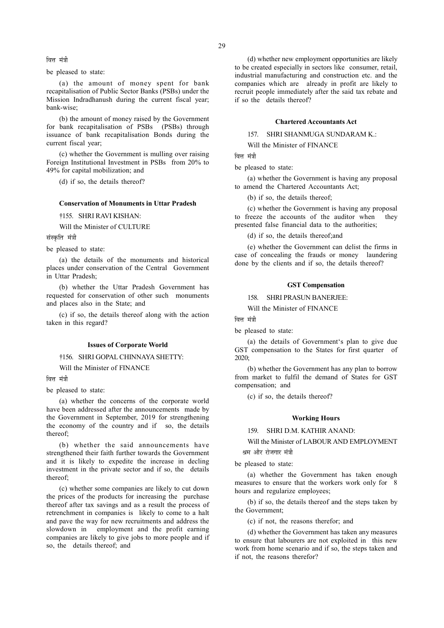29

वित्त मंत्री

be pleased to state:

(a) the amount of money spent for bank recapitalisation of Public Sector Banks (PSBs) under the Mission Indradhanush during the current fiscal year; bank-wise;

(b) the amount of money raised by the Government for bank recapitalisation of PSBs (PSBs) through issuance of bank recapitalisation Bonds during the current fiscal year;

(c) whether the Government is mulling over raising Foreign Institutional Investment in PSBs from 20% to 49% for capital mobilization; and

(d) if so, the details thereof?

#### Conservation of Monuments in Uttar Pradesh

†155. SHRI RAVI KISHAN:

Will the Minister of CULTURE

संस्कृति मंत्री

be pleased to state:

(a) the details of the monuments and historical places under conservation of the Central Government in Uttar Pradesh;

(b) whether the Uttar Pradesh Government has requested for conservation of other such monuments and places also in the State; and

(c) if so, the details thereof along with the action taken in this regard?

#### Issues of Corporate World

†156. SHRI GOPAL CHINNAYA SHETTY:

Will the Minister of FINANCE

वित्त मंत्री

be pleased to state:

(a) whether the concerns of the corporate world have been addressed after the announcements made by the Government in September, 2019 for strengthening the economy of the country and if so, the details thereof;

(b) whether the said announcements have strengthened their faith further towards the Government and it is likely to expedite the increase in decling investment in the private sector and if so, the details thereof;

(c) whether some companies are likely to cut down the prices of the products for increasing the purchase thereof after tax savings and as a result the process of retrenchment in companies is likely to come to a halt and pave the way for new recruitments and address the slowdown in employment and the profit earning companies are likely to give jobs to more people and if so, the details thereof; and

(d) whether new employment opportunities are likely to be created especially in sectors like consumer, retail, industrial manufacturing and construction etc. and the companies which are already in profit are likely to recruit people immediately after the said tax rebate and if so the details thereof?

# Chartered Accountants Act

157. SHRI SHANMUGA SUNDARAM K.:

Will the Minister of FINANCE

ਕਿਤ ਧੰਤੀ

be pleased to state:

(a) whether the Government is having any proposal to amend the Chartered Accountants Act;

(b) if so, the details thereof;

(c) whether the Government is having any proposal to freeze the accounts of the auditor when they presented false financial data to the authorities;

(d) if so, the details thereof;and

(e) whether the Government can delist the firms in case of concealing the frauds or money laundering done by the clients and if so, the details thereof?

## GST Compensation

158. SHRI PRASUN BANERJEE:

Will the Minister of FINANCE

वित्त मंत्री

be pleased to state:

(a) the details of Government's plan to give due GST compensation to the States for first quarter of  $2020$ 

(b) whether the Government has any plan to borrow from market to fulfil the demand of States for GST compensation; and

(c) if so, the details thereof?

#### Working Hours

159. SHRI D.M. KATHIR ANAND:

Will the Minister of LABOUR AND EMPLOYMENT श्रम और रोजगार मंत्री

be pleased to state:

(a) whether the Government has taken enough measures to ensure that the workers work only for 8 hours and regularize employees;

(b) if so, the details thereof and the steps taken by the Government;

(c) if not, the reasons therefor; and

(d) whether the Government has taken any measures to ensure that labourers are not exploited in this new work from home scenario and if so, the steps taken and if not, the reasons therefor?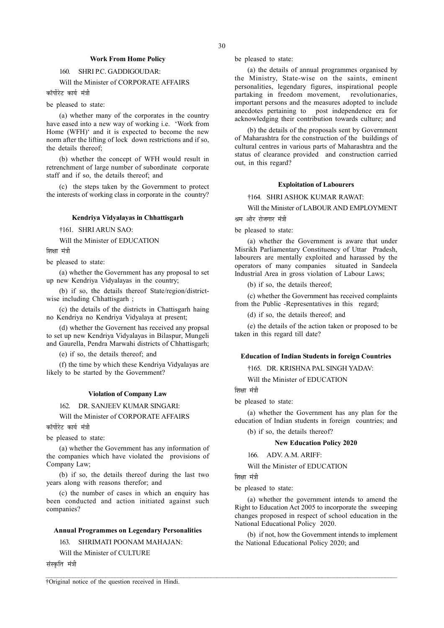# Work From Home Policy

# 160. SHRI P.C. GADDIGOUDAR:

Will the Minister of CORPORATE AFFAIRS

कॉर्पोरेट कार्य मंत्री

be pleased to state:

(a) whether many of the corporates in the country have eased into a new way of working i.e. 'Work from Home (WFH)' and it is expected to become the new norm after the lifting of lock down restrictions and if so, the details thereof;

(b) whether the concept of WFH would result in retrenchment of large number of subordinate corporate staff and if so, the details thereof; and

(c) the steps taken by the Government to protect the interests of working class in corporate in the country?

# Kendriya Vidyalayas in Chhattisgarh

†161. SHRI ARUN SAO:

Will the Minister of EDUCATION

णिश्ला मंत्री

be pleased to state:

(a) whether the Government has any proposal to set up new Kendriya Vidyalayas in the country;

(b) if so, the details thereof State/region/districtwise including Chhattisgarh ;

(c) the details of the districts in Chattisgarh haing no Kendriya no Kendriya Vidyalaya at present;

(d) whether the Governent has received any propsal to set up new Kendriya Vidyalayas in Bilaspur, Mungeli and Gaurella, Pendra Marwahi districts of Chhattisgarh;

(e) if so, the details thereof; and

(f) the time by which these Kendriya Vidyalayas are likely to be started by the Government?

#### Violation of Company Law

162. DR. SANJEEV KUMAR SINGARI:

Will the Minister of CORPORATE AFFAIRS

कॉर्पोरेट कार्य मंत्र<u>ी</u>

be pleased to state:

(a) whether the Government has any information of the companies which have violated the provisions of Company Law;

(b) if so, the details thereof during the last two years along with reasons therefor; and

(c) the number of cases in which an enquiry has been conducted and action initiated against such companies?

# Annual Programmes on Legendary Personalities

163. SHRIMATI POONAM MAHAJAN:

Will the Minister of CULTURE

संस्कृति मंत्री

be pleased to state:

(a) the details of annual programmes organised by the Ministry, State-wise on the saints, eminent personalities, legendary figures, inspirational people partaking in freedom movement, revolutionaries, important persons and the measures adopted to include anecdotes pertaining to post independence era for acknowledging their contribution towards culture; and

(b) the details of the proposals sent by Government of Maharashtra for the construction of the buildings of cultural centres in various parts of Maharashtra and the status of clearance provided and construction carried out, in this regard?

#### Exploitation of Labourers

†164. SHRI ASHOK KUMAR RAWAT:

Will the Minister of LABOUR AND EMPLOYMENT श्रम और रोजगार मंत्री

be pleased to state:

(a) whether the Government is aware that under Misrikh Parliamentary Constituency of Uttar Pradesh, labourers are mentally exploited and harassed by the operators of many companies situated in Sandeela Industrial Area in gross violation of Labour Laws;

(b) if so, the details thereof;

(c) whether the Government has received complaints from the Public -Representatives in this regard;

(d) if so, the details thereof; and

(e) the details of the action taken or proposed to be taken in this regard till date?

# Education of Indian Students in foreign Countries

†165. DR. KRISHNA PAL SINGH YADAV:

Will the Minister of EDUCATION

शिक्षा मंत्री

be pleased to state:

(a) whether the Government has any plan for the education of Indian students in foreign countries; and

(b) if so, the details thereof?

New Education Policy 2020

166. ADV. A.M. ARIFF:

Will the Minister of EDUCATION

शिक्षा मंत्री

 $\mathcal{L} = \{ \mathcal{L} = \{ \mathcal{L} = \{ \mathcal{L} = \{ \mathcal{L} = \{ \mathcal{L} = \{ \mathcal{L} = \{ \mathcal{L} = \{ \mathcal{L} = \{ \mathcal{L} = \{ \mathcal{L} = \{ \mathcal{L} = \{ \mathcal{L} = \{ \mathcal{L} = \{ \mathcal{L} = \{ \mathcal{L} = \{ \mathcal{L} = \{ \mathcal{L} = \{ \mathcal{L} = \{ \mathcal{L} = \{ \mathcal{L} = \{ \mathcal{L} = \{ \mathcal{L} = \{ \mathcal{L} = \{ \mathcal{$ 

be pleased to state:

(a) whether the government intends to amend the Right to Education Act 2005 to incorporate the sweeping changes proposed in respect of school education in the National Educational Policy 2020.

(b) if not, how the Government intends to implement the National Educational Policy 2020; and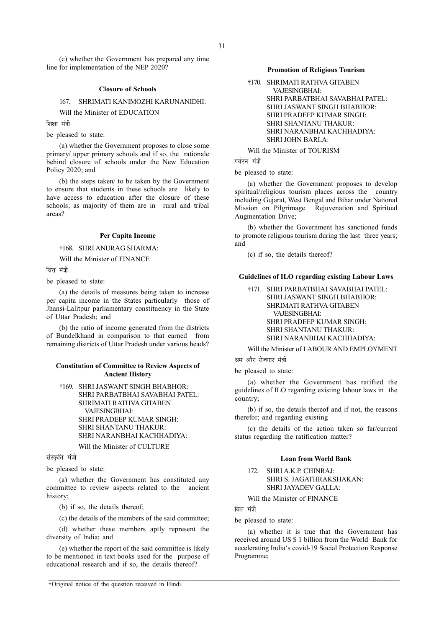(c) whether the Government has prepared any time line for implementation of the NEP 2020?

## Closure of Schools

167. SHRIMATI KANIMOZHI KARUNANIDHI:

Will the Minister of EDUCATION

शिक्षा मंत्री

be pleased to state:

(a) whether the Government proposes to close some primary/ upper primary schools and if so, the rationale behind closure of schools under the New Education Policy 2020; and

(b) the steps taken/ to be taken by the Government to ensure that students in these schools are likely to have access to education after the closure of these schools; as majority of them are in rural and tribal areas?

# Per Capita Income

†168. SHRI ANURAG SHARMA:

Will the Minister of FINANCE

वित्त मंत्री

be pleased to state:

(a) the details of measures being taken to increase per capita income in the States particularly those of Jhansi-Lalitpur parliamentary constituency in the State of Uttar Pradesh; and

(b) the ratio of income generated from the districts of Bundelkhand in comparison to that earned from remaining districts of Uttar Pradesh under various heads?

# Constitution of Committee to Review Aspects of Ancient History

†169. SHRI JASWANT SINGH BHABHOR: SHRI PARBATBHAI SAVABHAI PATEL: SHRIMATI RATHVA GITABEN VAJESINGBHAI: SHRI PRADEEP KUMAR SINGH: SHRI SHANTANU THAKUR: SHRI NARANBHAI KACHHADIYA:

Will the Minister of CULTURE

संस्कृति मंत्री

be pleased to state:

(a) whether the Government has constituted any committee to review aspects related to the ancient history;

(b) if so, the details thereof;

(c) the details of the members of the said committee;

(d) whether these members aptly represent the diversity of India; and

(e) whether the report of the said committee is likely to be mentioned in text books used for the purpose of educational research and if so, the details thereof?

# Promotion of Religious Tourism

†170. SHRIMATI RATHVA GITABEN VAJESINGBHAI: SHRI PARBATBHAI SAVABHAI PATEL: SHRI JASWANT SINGH BHABHOR: SHRI PRADEEP KUMAR SINGH: SHRI SHANTANU THAKUR: SHRI NARANBHAI KACHHADIYA: SHRI JOHN BARLA:

Will the Minister of TOURISM

पर्यटन मंत्री

be pleased to state:

(a) whether the Government proposes to develop spiritual/religious tourism places across the country including Gujarat, West Bengal and Bihar under National Mission on Pilgrimage Rejuvenation and Spiritual Augmentation Drive;

(b) whether the Government has sanctioned funds to promote religious tourism during the last three years; and

(c) if so, the details thereof?

## Guidelines of ILO regarding existing Labour Laws

†171. SHRI PARBATBHAI SAVABHAI PATEL: SHRI JASWANT SINGH BHABHOR: SHRIMATI RATHVA GITABEN VAJESINGBHAI: SHRI PRADEEP KUMAR SINGH: SHRI SHANTANU THAKUR: SHRI NARANBHAI KACHHADIYA:

Will the Minister of LABOUR AND EMPLOYMENT

श्रम और रोजगार मंत्री

be pleased to state:

(a) whether the Government has ratified the guidelines of ILO regarding existing labour laws in the country;

(b) if so, the details thereof and if not, the reasons therefor; and regarding existing

(c) the details of the action taken so far/current status regarding the ratification matter?

#### Loan from World Bank

172. SHRI A.K.P. CHINRAJ: SHRI S. JAGATHRAKSHAKAN: SHRI JAYADEV GALLA:

Will the Minister of FINANCE

ਕਿਜ ਸ਼<mark>ੱ</mark>ਤੀ

 $\mathcal{L} = \{ \mathcal{L} = \{ \mathcal{L} = \{ \mathcal{L} = \{ \mathcal{L} = \{ \mathcal{L} = \{ \mathcal{L} = \{ \mathcal{L} = \{ \mathcal{L} = \{ \mathcal{L} = \{ \mathcal{L} = \{ \mathcal{L} = \{ \mathcal{L} = \{ \mathcal{L} = \{ \mathcal{L} = \{ \mathcal{L} = \{ \mathcal{L} = \{ \mathcal{L} = \{ \mathcal{L} = \{ \mathcal{L} = \{ \mathcal{L} = \{ \mathcal{L} = \{ \mathcal{L} = \{ \mathcal{L} = \{ \mathcal{$ 

be pleased to state:

(a) whether it is true that the Government has received around US \$ 1 billion from the World Bank for accelerating India's covid-19 Social Protection Response Programme;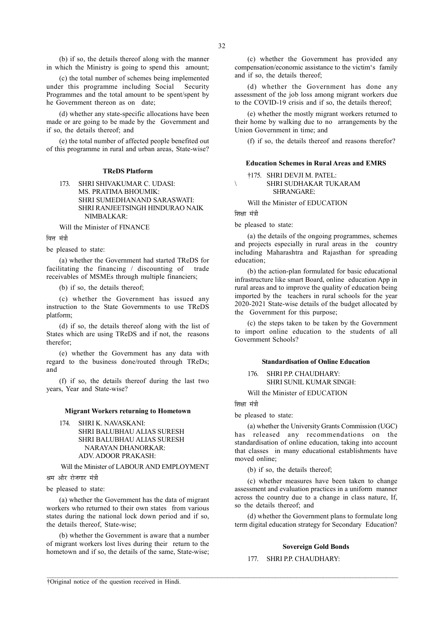(b) if so, the details thereof along with the manner in which the Ministry is going to spend this amount;

(c) the total number of schemes being implemented under this programme including Social Security Programmes and the total amount to be spent/spent by he Government thereon as on date;

(d) whether any state-specific allocations have been made or are going to be made by the Government and if so, the details thereof; and

(e) the total number of affected people benefited out of this programme in rural and urban areas, State-wise?

#### TReDS Platform

173. SHRI SHIVAKUMAR C. UDASI: MS. PRATIMA BHOUMIK: SHRI SUMEDHANAND SARASWATI: SHRI RANJEETSINGH HINDURAO NAIK NIMBALKAR:

Will the Minister of FINANCE

वित्त मंत्री

be pleased to state:

(a) whether the Government had started TReDS for facilitating the financing / discounting of trade receivables of MSMEs through multiple financiers;

(b) if so, the details thereof;

(c) whether the Government has issued any instruction to the State Governments to use TReDS platform;

(d) if so, the details thereof along with the list of States which are using TReDS and if not, the reasons therefor;

(e) whether the Government has any data with regard to the business done/routed through TReDs; and

(f) if so, the details thereof during the last two years, Year and State-wise?

#### Migrant Workers returning to Hometown

174. SHRI K. NAVASKANI: SHRI BALUBHAU ALIAS SURESH SHRI BALUBHAU ALIAS SURESH NARAYAN DHANORKAR: ADV. ADOOR PRAKASH:

Will the Minister of LABOUR AND EMPLOYMENT

श्रम और रोजगार मंत्री

be pleased to state:

(a) whether the Government has the data of migrant workers who returned to their own states from various states during the national lock down period and if so, the details thereof, State-wise;

(b) whether the Government is aware that a number of migrant workers lost lives during their return to the hometown and if so, the details of the same, State-wise;

(c) whether the Government has provided any compensation/economic assistance to the victim's family and if so, the details thereof;

(d) whether the Government has done any assessment of the job loss among migrant workers due to the COVID-19 crisis and if so, the details thereof;

(e) whether the mostly migrant workers returned to their home by walking due to no arrangements by the Union Government in time; and

(f) if so, the details thereof and reasons therefor?

# Education Schemes in Rural Areas and EMRS

†175. SHRI DEVJI M. PATEL: \ SHRI SUDHAKAR TUKARAM SHRANGARE:

Will the Minister of EDUCATION

शिक्षा मंत्री

be pleased to state:

(a) the details of the ongoing programmes, schemes and projects especially in rural areas in the country including Maharashtra and Rajasthan for spreading education;

(b) the action-plan formulated for basic educational infrastructure like smart Board, online education App in rural areas and to improve the quality of education being imported by the teachers in rural schools for the year 2020-2021 State-wise details of the budget allocated by the Government for this purpose;

(c) the steps taken to be taken by the Government to import online education to the students of all Government Schools?

#### Standardisation of Online Education

176. SHRI P.P. CHAUDHARY: SHRI SUNIL KUMAR SINGH:

Will the Minister of EDUCATION

शिक्षा मंत्री

 $\mathcal{L} = \{ \mathcal{L} = \{ \mathcal{L} = \{ \mathcal{L} = \{ \mathcal{L} = \{ \mathcal{L} = \{ \mathcal{L} = \{ \mathcal{L} = \{ \mathcal{L} = \{ \mathcal{L} = \{ \mathcal{L} = \{ \mathcal{L} = \{ \mathcal{L} = \{ \mathcal{L} = \{ \mathcal{L} = \{ \mathcal{L} = \{ \mathcal{L} = \{ \mathcal{L} = \{ \mathcal{L} = \{ \mathcal{L} = \{ \mathcal{L} = \{ \mathcal{L} = \{ \mathcal{L} = \{ \mathcal{L} = \{ \mathcal{$ 

be pleased to state:

(a) whether the University Grants Commission (UGC) has released any recommendations on the standardisation of online education, taking into account that classes in many educational establishments have moved online;

(b) if so, the details thereof;

(c) whether measures have been taken to change assessment and evaluation practices in a uniform manner across the country due to a change in class nature, If, so the details thereof; and

(d) whether the Government plans to formulate long term digital education strategy for Secondary Education?

### Sovereign Gold Bonds

# 177. SHRI P.P. CHAUDHARY:

†Original notice of the question received in Hindi.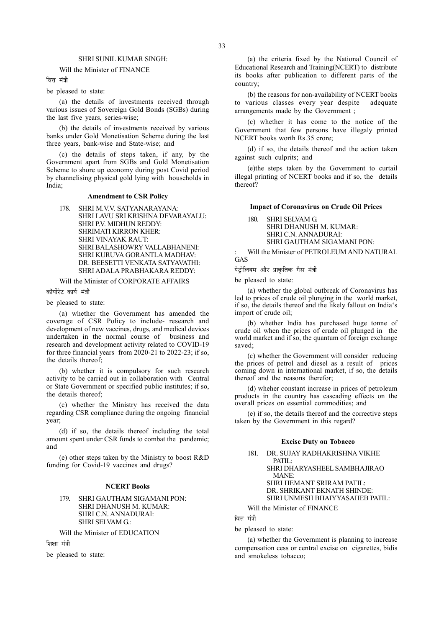### SHRI SUNIL KUMAR SINGH:

#### Will the Minister of FINANCE

वित्त मंत्री

#### be pleased to state:

(a) the details of investments received through various issues of Sovereign Gold Bonds (SGBs) during the last five years, series-wise;

(b) the details of investments received by various banks under Gold Monetisation Scheme during the last three years, bank-wise and State-wise; and

(c) the details of steps taken, if any, by the Government apart from SGBs and Gold Monetisation Scheme to shore up economy during post Covid period by channelising physical gold lying with households in India;

#### Amendment to CSR Policy

178. SHRI M.V.V. SATYANARAYANA: SHRI LAVU SRI KRISHNA DEVARAYALU: SHRI P.V. MIDHUN REDDY: SHRIMATI KIRRON KHER: SHRI VINAYAK RAUT: SHRI BALASHOWRY VALLABHANENI: SHRI KURUVA GORANTLA MADHAV: DR. BEESETTI VENKATA SATYAVATHI: SHRI ADALA PRABHAKARA REDDY:

Will the Minister of CORPORATE AFFAIRS

कॉर्पोरेट कार्य मंत्री

be pleased to state:

(a) whether the Government has amended the coverage of CSR Policy to include- research and development of new vaccines, drugs, and medical devices undertaken in the normal course of business and research and development activity related to COVID-19 for three financial years from 2020-21 to 2022-23; if so, the details thereof;

(b) whether it is compulsory for such research activity to be carried out in collaboration with Central or State Government or specified public institutes; if so, the details thereof;

(c) whether the Ministry has received the data regarding CSR compliance during the ongoing financial year;

(d) if so, the details thereof including the total amount spent under CSR funds to combat the pandemic; and

(e) other steps taken by the Ministry to boost R&D funding for Covid-19 vaccines and drugs?

# NCERT Books

# 179. SHRI GAUTHAM SIGAMANI PON: SHRI DHANUSH M. KUMAR: SHRI C.N. ANNADURAI: SHRI SELVAM G.:

Will the Minister of EDUCATION

ਗਿਆ ਧੰਤੀ

be pleased to state:

(a) the criteria fixed by the National Council of Educational Research and Training(NCERT) to distribute its books after publication to different parts of the country;

(b) the reasons for non-availability of NCERT books to various classes every year despite adequate arrangements made by the Government ;

(c) whether it has come to the notice of the Government that few persons have illegaly printed NCERT books worth Rs.35 crore;

(d) if so, the details thereof and the action taken against such culprits; and

(e)the steps taken by the Government to curtail illegal printing of NCERT books and if so, the details thereof?

# Impact of Coronavirus on Crude Oil Prices

180. SHRI SELVAM G. SHRI DHANUSH M. KUMAR: SHRI C.N. ANNADURAI: SHRI GAUTHAM SIGAMANI PON:

: Will the Minister of PETROLEUM AND NATURAL **GAS** 

पेट्रोलियम और प्राकृतिक गैस मंत्री

be pleased to state:

(a) whether the global outbreak of Coronavirus has led to prices of crude oil plunging in the world market, if so, the details thereof and the likely fallout on India's import of crude oil;

(b) whether India has purchased huge tonne of crude oil when the prices of crude oil plunged in the world market and if so, the quantum of foreign exchange saved;

(c) whether the Government will consider reducing the prices of petrol and diesel as a result of prices coming down in international market, if so, the details thereof and the reasons therefor;

(d) wheher constant increase in prices of petroleum products in the country has cascading effects on the overall prices on essential commodities; and

(e) if so, the details thereof and the corrective steps taken by the Government in this regard?

#### Excise Duty on Tobacco

181. DR. SUJAY RADHAKRISHNA VIKHE PATIL: SHRI DHARYASHEEL SAMBHAJIRAO MANE: SHRI HEMANT SRIRAM PATIL: DR. SHRIKANT EKNATH SHINDE: SHRI UNMESH BHAIYYASAHEB PATIL:

Will the Minister of FINANCE

# वित्त मंत्री

be pleased to state:

(a) whether the Government is planning to increase compensation cess or central excise on cigarettes, bidis and smokeless tobacco;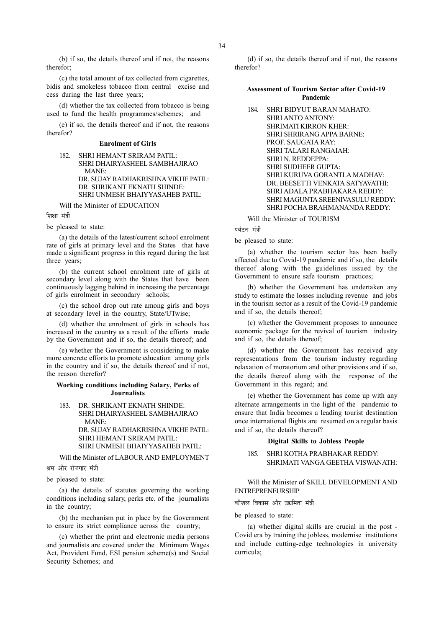(b) if so, the details thereof and if not, the reasons therefor;

(c) the total amount of tax collected from cigarettes, bidis and smokeless tobacco from central excise and cess during the last three years;

(d) whether the tax collected from tobacco is being used to fund the health programmes/schemes; and

(e) if so, the details thereof and if not, the reasons therefor?

# Enrolment of Girls

| 182. | SHRI HEMANT SRIRAM PATIL:           |
|------|-------------------------------------|
|      |                                     |
|      | SHRI DHAIRYASHEEL SAMBHAJIRAO       |
|      | MANE:                               |
|      | DR. SUJAY RADHAKRISHNA VIKHE PATIL: |
|      | DR. SHRIKANT EKNATH SHINDE:         |
|      | SHRI UNMESH BHAIYYASAHEB PATIL:     |
|      |                                     |

Will the Minister of EDUCATION

शिक्षा मंत्री

be pleased to state:

(a) the details of the latest/current school enrolment rate of girls at primary level and the States that have made a significant progress in this regard during the last three years;

(b) the current school enrolment rate of girls at secondary level along with the States that have been continuously lagging behind in increasing the percentage of girls enrolment in secondary schools;

(c) the school drop out rate among girls and boys at secondary level in the country, State/UTwise;

(d) whether the enrolment of girls in schools has increased in the country as a result of the efforts made by the Government and if so, the details thereof; and

(e) whether the Government is considering to make more concrete efforts to promote education among girls in the country and if so, the details thereof and if not, the reason therefor?

## Working conditions including Salary, Perks of Journalists

183. DR. SHRIKANT EKNATH SHINDE: SHRI DHAIRYASHEEL SAMBHAJIRAO MANE: DR. SUJAY RADHAKRISHNA VIKHE PATIL: SHRI HEMANT SRIRAM PATIL: SHRI UNMESH BHAIYYASAHEB PATIL:

Will the Minister of LABOUR AND EMPLOYMENT

श्रम और रोजगार मंत्री

be pleased to state:

(a) the details of statutes governing the working conditions including salary, perks etc. of the journalists in the country;

(b) the mechanism put in place by the Government to ensure its strict compliance across the country;

(c) whether the print and electronic media persons and journalists are covered under the Minimum Wages Act, Provident Fund, ESI pension scheme(s) and Social Security Schemes; and

(d) if so, the details thereof and if not, the reasons therefor?

# Assessment of Tourism Sector after Covid-19 Pandemic

| 184. | SHRI BIDYUT BARAN MAHATO:        |
|------|----------------------------------|
|      | SHRI ANTO ANTONY:                |
|      | <b>SHRIMATI KIRRON KHER:</b>     |
|      | SHRI SHRIRANG APPA BARNE:        |
|      | PROF. SAUGATA RAY:               |
|      | SHRI TALARI RANGAJAH:            |
|      | SHRIN. REDDEPPA:                 |
|      | SHRI SUDHEER GUPTA:              |
|      | SHRI KURUVA GORANTLA MADHAV:     |
|      | DR. BEESETTI VENKATA SATYAVATHI: |
|      | SHRI ADALA PRABHAKARA REDDY:     |
|      | SHRI MAGUNTA SREENIVASULU REDDY: |
|      | SHRI POCHA BRAHMANANDA REDDY:    |

Will the Minister of TOURISM

पर्यटन मंत्री

be pleased to state:

(a) whether the tourism sector has been badly affected due to Covid-19 pandemic and if so, the details thereof along with the guidelines issued by the Government to ensure safe tourism practices;

(b) whether the Government has undertaken any study to estimate the losses including revenue and jobs in the tourism sector as a result of the Covid-19 pandemic and if so, the details thereof;

(c) whether the Government proposes to announce economic package for the revival of tourism industry and if so, the details thereof;

(d) whether the Government has received any representations from the tourism industry regarding relaxation of moratorium and other provisions and if so, the details thereof along with the response of the Government in this regard; and

(e) whether the Government has come up with any alternate arrangements in the light of the pandemic to ensure that India becomes a leading tourist destination once international flights are resumed on a regular basis and if so, the details thereof?

# Digital Skills to Jobless People

185. SHRI KOTHA PRABHAKAR REDDY: SHRIMATI VANGA GEETHA VISWANATH:

Will the Minister of SKILL DEVELOPMENT AND ENTREPRENEURSHIP

<u>कौशल विकास और उद्यमिता मंत्री</u>

be pleased to state:

(a) whether digital skills are crucial in the post - Covid era by training the jobless, modernise institutions and include cutting-edge technologies in university curricula;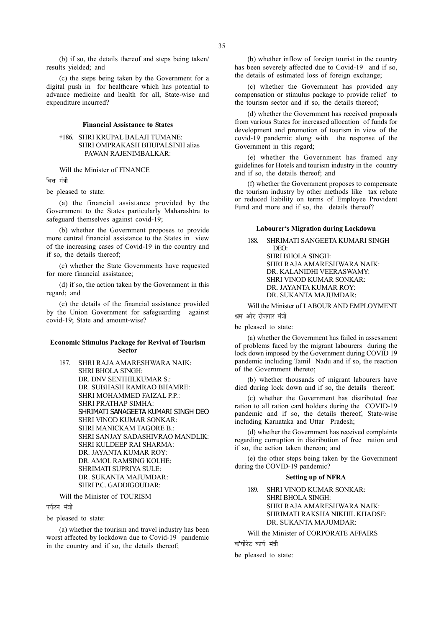(b) if so, the details thereof and steps being taken/ results yielded; and

(c) the steps being taken by the Government for a digital push in for healthcare which has potential to advance medicine and health for all, State-wise and expenditure incurred?

#### Financial Assistance to States

# †186. SHRI KRUPAL BALAJI TUMANE: SHRI OMPRAKASH BHUPALSINH alias PAWAN RAJENIMBALKAR:

# Will the Minister of FINANCE

ਕਿਜ ਸੰਗੀ

be pleased to state:

(a) the financial assistance provided by the Government to the States particularly Maharashtra to safeguard themselves against covid-19;

(b) whether the Government proposes to provide more central financial assistance to the States in view of the increasing cases of Covid-19 in the country and if so, the details thereof;

(c) whether the State Governments have requested for more financial assistance;

(d) if so, the action taken by the Government in this regard; and

(e) the details of the financial assistance provided by the Union Government for safeguarding against covid-19; State and amount-wise?

# Economic Stimulus Package for Revival of Tourism Sector

187. SHRI RAJA AMARESHWARA NAIK: SHRI BHOLA SINGH: DR. DNV SENTHILKUMAR S.: DR. SUBHASH RAMRAO BHAMRE: SHRI MOHAMMED FAIZAL P.P.: SHRI PRATHAP SIMHA: SHRIMATI SANAGEETA KUMARI SINGH DEO SHRI VINOD KUMAR SONKAR: SHRI MANICKAM TAGORE B.: SHRI SANJAY SADASHIVRAO MANDLIK: SHRI KULDEEP RAI SHARMA: DR. JAYANTA KUMAR ROY: DR. AMOL RAMSING KOLHE: SHRIMATI SUPRIYA SULE: DR. SUKANTA MAJUMDAR: SHRI P.C. GADDIGOUDAR:

# Will the Minister of TOURISM

पर्यटन मंत्री

be pleased to state:

(a) whether the tourism and travel industry has been worst affected by lockdown due to Covid-19 pandemic in the country and if so, the details thereof;

(b) whether inflow of foreign tourist in the country has been severely affected due to Covid-19 and if so, the details of estimated loss of foreign exchange;

(c) whether the Government has provided any compensation or stimulus package to provide relief to the tourism sector and if so, the details thereof;

(d) whether the Government has received proposals from various States for increased allocation of funds for development and promotion of tourism in view of the covid-19 pandemic along with the response of the Government in this regard;

(e) whether the Government has framed any guidelines for Hotels and tourism industry in the country and if so, the details thereof; and

(f) whether the Government proposes to compensate the tourism industry by other methods like tax rebate or reduced liability on terms of Employee Provident Fund and more and if so, the details thereof?

# Labourer's Migration during Lockdown

# 188. SHRIMATI SANGEETA KUMARI SINGH DEO: SHRI BHOLA SINGH: SHRI RAJA AMARESHWARA NAIK: DR. KALANIDHI VEERASWAMY: SHRI VINOD KUMAR SONKAR: DR. JAYANTA KUMAR ROY: DR. SUKANTA MAJUMDAR:

Will the Minister of LABOUR AND EMPLOYMENT

श्रम और रोजगार मंत्री

be pleased to state:

(a) whether the Government has failed in assessment of problems faced by the migrant labourers during the lock down imposed by the Government during COVID 19 pandemic including Tamil Nadu and if so, the reaction of the Government thereto;

(b) whether thousands of migrant labourers have died during lock down and if so, the details thereof;

(c) whether the Government has distributed free ration to all ration card holders during the COVID-19 pandemic and if so, the details thereof, State-wise including Karnataka and Uttar Pradesh;

(d) whether the Government has received complaints regarding corruption in distribution of free ration and if so, the action taken thereon; and

(e) the other steps being taken by the Government during the COVID-19 pandemic?

# Setting up of NFRA

189. SHRI VINOD KUMAR SONKAR: SHRI BHOLA SINGH: SHRI RAJA AMARESHWARA NAIK: SHRIMATI RAKSHA NIKHIL KHADSE: DR. SUKANTA MAJUMDAR:

Will the Minister of CORPORATE AFFAIRS कॉर्पोरेट कार्य मंत्री

be pleased to state: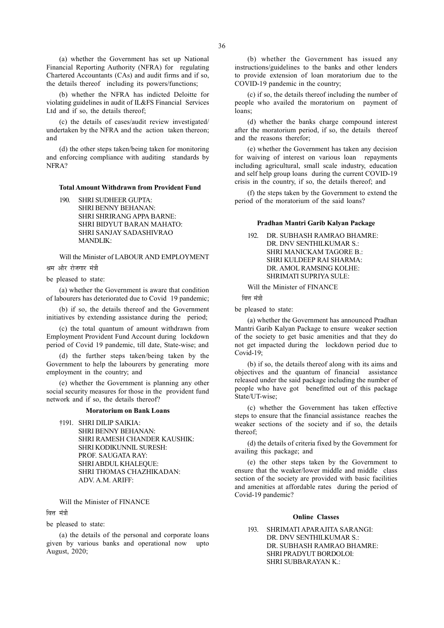(a) whether the Government has set up National Financial Reporting Authority (NFRA) for regulating Chartered Accountants (CAs) and audit firms and if so, the details thereof including its powers/functions;

(b) whether the NFRA has indicted Deloitte for violating guidelines in audit of IL&FS Financial Services Ltd and if so, the details thereof;

(c) the details of cases/audit review investigated/ undertaken by the NFRA and the action taken thereon; and

(d) the other steps taken/being taken for monitoring and enforcing compliance with auditing standards by NFRA?

## Total Amount Withdrawn from Provident Fund

190. SHRI SUDHEER GUPTA: SHRI BENNY BEHANAN: SHRI SHRIRANG APPA BARNE: SHRI BIDYUT BARAN MAHATO: SHRI SANJAY SADASHIVRAO MANDLIK:

Will the Minister of LABOUR AND EMPLOYMENT श्रम और रोजगार मंत्री

be pleased to state:

(a) whether the Government is aware that condition of labourers has deteriorated due to Covid 19 pandemic;

(b) if so, the details thereof and the Government initiatives by extending assistance during the period;

(c) the total quantum of amount withdrawn from Employment Provident Fund Account during lockdown period of Covid 19 pandemic, till date, State-wise; and

(d) the further steps taken/being taken by the Government to help the labourers by generating more employment in the country; and

(e) whether the Government is planning any other social security measures for those in the provident fund network and if so, the details thereof?

#### Moratorium on Bank Loans

†191. SHRI DILIP SAIKIA: SHRI BENNY BEHANAN: SHRI RAMESH CHANDER KAUSHIK: SHRI KODIKUNNIL SURESH: PROF. SAUGATA RAY: SHRI ABDUL KHALEQUE: SHRI THOMAS CHAZHIKADAN: ADV. A.M. ARIFF:

# Will the Minister of FINANCE

वित्त मंत्री

be pleased to state:

(a) the details of the personal and corporate loans given by various banks and operational now upto August, 2020;

(b) whether the Government has issued any instructions/guidelines to the banks and other lenders to provide extension of loan moratorium due to the COVID-19 pandemic in the country;

(c) if so, the details thereof including the number of people who availed the moratorium on payment of loans:

(d) whether the banks charge compound interest after the moratorium period, if so, the details thereof and the reasons therefor;

(e) whether the Government has taken any decision for waiving of interest on various loan repayments including agricultural, small scale industry, education and self help group loans during the current COVID-19 crisis in the country, if so, the details thereof; and

(f) the steps taken by the Government to extend the period of the moratorium of the said loans?

# Pradhan Mantri Garib Kalyan Package

192. DR. SUBHASH RAMRAO BHAMRE: DR. DNV SENTHILKUMAR S. SHRI MANICKAM TAGORE B.: SHRI KULDEEP RAI SHARMA: DR. AMOL RAMSING KOLHE: SHRIMATI SUPRIYA SULE:

Will the Minister of FINANCE

वित्त मंत्री

be pleased to state:

(a) whether the Government has announced Pradhan Mantri Garib Kalyan Package to ensure weaker section of the society to get basic amenities and that they do not get impacted during the lockdown period due to Covid-19;

(b) if so, the details thereof along with its aims and objectives and the quantum of financial assistance released under the said package including the number of people who have got benefitted out of this package State/UT-wise:

(c) whether the Government has taken effective steps to ensure that the financial assistance reaches the weaker sections of the society and if so, the details thereof;

(d) the details of criteria fixed by the Government for availing this package; and

(e) the other steps taken by the Government to ensure that the weaker/lower middle and middle class section of the society are provided with basic facilities and amenities at affordable rates during the period of Covid-19 pandemic?

# Online Classes

193. SHRIMATI APARAJITA SARANGI: DR. DNV SENTHILKUMAR S.: DR. SUBHASH RAMRAO BHAMRE: SHRI PRADYUT BORDOLOI: SHRI SUBBARAYAN K.: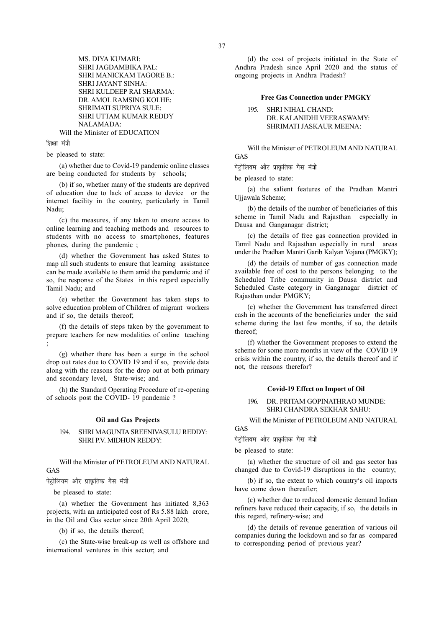MS. DIYA KUMARI: SHRI JAGDAMBIKA PAL: SHRI MANICKAM TAGORE B.: SHRI JAYANT SINHA: SHRI KULDEEP RAI SHARMA: DR. AMOL RAMSING KOLHE: SHRIMATI SUPRIYA SULE: SHRI UTTAM KUMAR REDDY NALAMADA: Will the Minister of EDUCATION

शिक्षा मंत्री

be pleased to state:

(a) whether due to Covid-19 pandemic online classes are being conducted for students by schools;

(b) if so, whether many of the students are deprived of education due to lack of access to device or the internet facility in the country, particularly in Tamil Nadu;

(c) the measures, if any taken to ensure access to online learning and teaching methods and resources to students with no access to smartphones, features phones, during the pandemic ;

(d) whether the Government has asked States to map all such students to ensure that learning assistance can be made available to them amid the pandemic and if so, the response of the States in this regard especially Tamil Nadu; and

(e) whether the Government has taken steps to solve education problem of Children of migrant workers and if so, the details thereof;

(f) the details of steps taken by the government to prepare teachers for new modalities of online teaching ;

(g) whether there has been a surge in the school drop out rates due to COVID 19 and if so, provide data along with the reasons for the drop out at both primary and secondary level, State-wise; and

(h) the Standard Operating Procedure of re-opening of schools post the COVID- 19 pandemic ?

### Oil and Gas Projects

# 194. SHRI MAGUNTA SREENIVASULU REDDY: SHRI P.V. MIDHUN REDDY:

Will the Minister of PETROLEUM AND NATURAL GAS

पेट्रोलियम और प्राकृतिक गैस मंत्री

be pleased to state:

(a) whether the Government has initiated 8,363 projects, with an anticipated cost of Rs 5.88 lakh crore, in the Oil and Gas sector since 20th April 2020;

(b) if so, the details thereof;

(c) the State-wise break-up as well as offshore and international ventures in this sector; and

(d) the cost of projects initiated in the State of Andhra Pradesh since April 2020 and the status of ongoing projects in Andhra Pradesh?

# Free Gas Connection under PMGKY

195. SHRI NIHAL CHAND: DR. KALANIDHI VEERASWAMY: SHRIMATI JASKAUR MEENA:

Will the Minister of PETROLEUM AND NATURAL GAS

पेटोलियम और प्राकृतिक गैस मंत्री

be pleased to state:

(a) the salient features of the Pradhan Mantri Ujjawala Scheme;

(b) the details of the number of beneficiaries of this scheme in Tamil Nadu and Rajasthan especially in Dausa and Ganganagar district;

(c) the details of free gas connection provided in Tamil Nadu and Rajasthan especially in rural areas under the Pradhan Mantri Garib Kalyan Yojana (PMGKY);

(d) the details of number of gas connection made available free of cost to the persons belonging to the Scheduled Tribe community in Dausa district and Scheduled Caste category in Ganganagar district of Rajasthan under PMGKY;

(e) whether the Government has transferred direct cash in the accounts of the beneficiaries under the said scheme during the last few months, if so, the details thereof;

(f) whether the Government proposes to extend the scheme for some more months in view of the COVID 19 crisis within the country, if so, the details thereof and if not, the reasons therefor?

## Covid-19 Effect on Import of Oil

# 196. DR. PRITAM GOPINATHRAO MUNDE: SHRI CHANDRA SEKHAR SAHU:

Will the Minister of PETROLEUM AND NATURAL

GAS

पेट्रोलियम और प्राकृतिक गैस मंत्री

be pleased to state:

(a) whether the structure of oil and gas sector has changed due to Covid-19 disruptions in the country;

(b) if so, the extent to which country's oil imports have come down thereafter;

(c) whether due to reduced domestic demand Indian refiners have reduced their capacity, if so, the details in this regard, refinery-wise; and

(d) the details of revenue generation of various oil companies during the lockdown and so far as compared to corresponding period of previous year?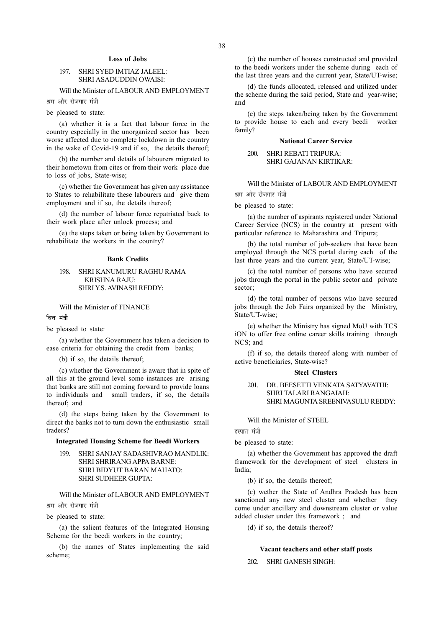# Loss of Jobs

# 197. SHRI SYED IMTIAZ JALEEL: SHRI ASADUDDIN OWAISI:

# Will the Minister of LABOUR AND EMPLOYMENT

श्रम और रोजगार मंत्री

be pleased to state:

(a) whether it is a fact that labour force in the country especially in the unorganized sector has been worse affected due to complete lockdown in the country in the wake of Covid-19 and if so, the details thereof;

(b) the number and details of labourers migrated to their hometown from cites or from their work place due to loss of jobs, State-wise;

(c) whether the Government has given any assistance to States to rehabilitate these labourers and give them employment and if so, the details thereof;

(d) the number of labour force repatriated back to their work place after unlock process; and

(e) the steps taken or being taken by Government to rehabilitate the workers in the country?

#### Bank Credits

# 198. SHRI KANUMURU RAGHU RAMA KRISHNA RAJU: SHRI Y.S. AVINASH REDDY:

Will the Minister of FINANCE

वित्त मंत्री

# be pleased to state:

(a) whether the Government has taken a decision to ease criteria for obtaining the credit from banks;

(b) if so, the details thereof;

(c) whether the Government is aware that in spite of all this at the ground level some instances are arising that banks are still not coming forward to provide loans to individuals and small traders, if so, the details thereof; and

(d) the steps being taken by the Government to direct the banks not to turn down the enthusiastic small traders?

# Integrated Housing Scheme for Beedi Workers

199. SHRI SANJAY SADASHIVRAO MANDLIK: SHRI SHRIRANG APPA BARNE: SHRI BIDYUT BARAN MAHATO: SHRI SUDHEER GUPTA:

Will the Minister of LABOUR AND EMPLOYMENT श्रम और रोजगार मंत्री

be pleased to state:

(a) the salient features of the Integrated Housing Scheme for the beedi workers in the country;

(b) the names of States implementing the said scheme;

(c) the number of houses constructed and provided to the beedi workers under the scheme during each of the last three years and the current year, State/UT-wise;

(d) the funds allocated, released and utilized under the scheme during the said period, State and year-wise; and

(e) the steps taken/being taken by the Government to provide house to each and every beedi worker family?

### National Career Service

# 200. SHRI REBATI TRIPURA: SHRI GAJANAN KIRTIKAR:

Will the Minister of LABOUR AND EMPLOYMENT श्रम और रोजगार मंत्री

be pleased to state:

(a) the number of aspirants registered under National Career Service (NCS) in the country at present with particular reference to Maharashtra and Tripura;

(b) the total number of job-seekers that have been employed through the NCS portal during each of the last three years and the current year, State/UT-wise;

(c) the total number of persons who have secured jobs through the portal in the public sector and private sector;

(d) the total number of persons who have secured jobs through the Job Fairs organized by the Ministry, State/UT-wise;

(e) whether the Ministry has signed MoU with TCS iON to offer free online career skills training through NCS; and

(f) if so, the details thereof along with number of active beneficiaries, State-wise?

### Steel Clusters

# 201. DR. BEESETTI VENKATA SATYAVATHI: SHRI TALARI RANGAIAH: SHRI MAGUNTA SREENIVASULU REDDY:

Will the Minister of STEEL

# इस्पात मंत्री

be pleased to state:

(a) whether the Government has approved the draft framework for the development of steel clusters in India;

(b) if so, the details thereof;

(c) wether the State of Andhra Pradesh has been sanctioned any new steel cluster and whether they come under ancillary and downstream cluster or value added cluster under this framework ; and

(d) if so, the details thereof?

#### Vacant teachers and other staff posts

202. SHRI GANESH SINGH: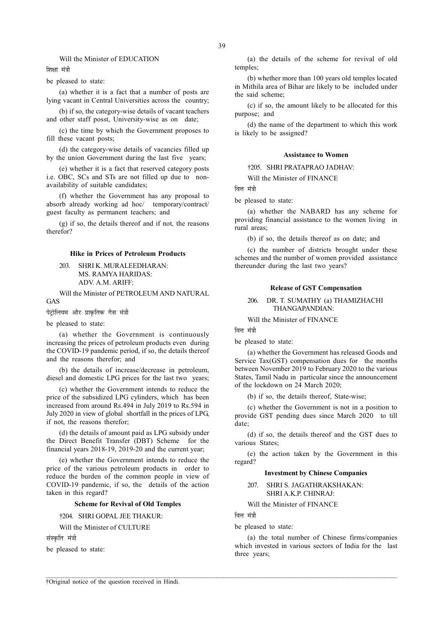# Will the Minister of EDUCATION

शिक्षा मंत्री

be pleased to state:

(a) whether it is a fact that a number of posts are lying vacant in Central Universities across the country;

(b) if so, the category-wise details of vacant teachers and other staff posst, University-wise as on date;

(c) the time by which the Government proposes to fill these vacant posts;

(d) the category-wise details of vacancies filled up by the union Government during the last five years;

(e) whether it is a fact that reserved category posts i.e. OBC, SCs and STs are not filled up due to nonavailability of suitable candidates;

(f) whether the Government has any proposal to absorb already working ad hoc/ temporary/contract/ guest faculty as permanent teachers; and

(g) if so, the details thereof and if not, the reasons therefor?

#### Hike in Prices of Petroleum Products

203. SHRI K. MURALEEDHARAN: MS. RAMYA HARIDAS: ADV. A.M. ARIFF:

Will the Minister of PETROLEUM AND NATURAL GAS

पेट्रोलियम और प्राकृतिक गैस मंत्री

be pleased to state:

(a) whether the Government is continuously increasing the prices of petroleum products even during the COVID-19 pandemic period, if so, the details thereof and the reasons therefor; and

(b) the details of increase/decrease in petroleum, diesel and domestic LPG prices for the last two years;

(c) whether the Government intends to reduce the price of the subsidized LPG cylinders, which has been increased from around Rs.494 in July 2019 to Rs.594 in July 2020 in view of global shortfall in the prices of LPG, if not, the reasons therefor;

(d) the details of amount paid as LPG subsidy under the Direct Benefit Transfer (DBT) Scheme for the financial years 2018-19, 2019-20 and the current year;

(e) whether the Government intends to reduce the price of the various petroleum products in order to reduce the burden of the common people in view of COVID-19 pandemic, if so, the details of the action taken in this regard?

## Scheme for Revival of Old Temples

†204. SHRI GOPAL JEE THAKUR:

Will the Minister of CULTURE

संस्कृति मंत्री

be pleased to state:

(a) the details of the scheme for revival of old temples;

(b) whether more than 100 years old temples located in Mithila area of Bihar are likely to be included under the said scheme;

(c) if so, the amount likely to be allocated for this purpose; and

(d) the name of the department to which this work is likely to be assigned?

#### Assistance to Women

†205. SHRI PRATAPRAO JADHAV:

Will the Minister of FINANCE

वित्त मंत्री

be pleased to state:

(a) whether the NABARD has any scheme for providing financial assistance to the women living in rural areas;

(b) if so, the details thereof as on date; and

(c) the number of districts brought under these schemes and the number of women provided assistance thereunder during the last two years?

#### Release of GST Compensation

# 206. DR. T. SUMATHY (a) THAMIZHACHI THANGAPANDIAN:

Will the Minister of FINANCE

वित्त मंत्री

be pleased to state:

(a) whether the Government has released Goods and Service Tax(GST) compensation dues for the months between November 2019 to February 2020 to the various States, Tamil Nadu in particular since the announcement of the lockdown on 24 March 2020;

(b) if so, the details thereof, State-wise;

(c) whether the Government is not in a position to provide GST pending dues since March 2020 to till date;

(d) if so, the details thereof and the GST dues to various States;

(e) the action taken by the Government in this regard?

# Investment by Chinese Companies

207. SHRI S. JAGATHRAKSHAKAN: SHRI A.K.P. CHINRAJ:

Will the Minister of FINANCE

वित्त मंत्री

 $\mathcal{L} = \{ \mathcal{L} = \{ \mathcal{L} = \{ \mathcal{L} = \{ \mathcal{L} = \{ \mathcal{L} = \{ \mathcal{L} = \{ \mathcal{L} = \{ \mathcal{L} = \{ \mathcal{L} = \{ \mathcal{L} = \{ \mathcal{L} = \{ \mathcal{L} = \{ \mathcal{L} = \{ \mathcal{L} = \{ \mathcal{L} = \{ \mathcal{L} = \{ \mathcal{L} = \{ \mathcal{L} = \{ \mathcal{L} = \{ \mathcal{L} = \{ \mathcal{L} = \{ \mathcal{L} = \{ \mathcal{L} = \{ \mathcal{$ 

be pleased to state:

(a) the total number of Chinese firms/companies which invested in various sectors of India for the last three years;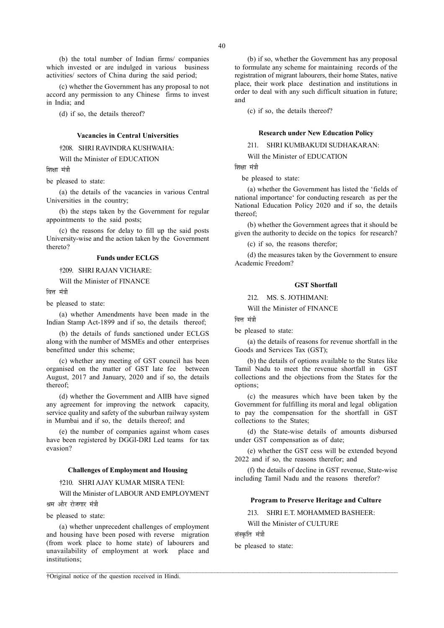(b) the total number of Indian firms/ companies which invested or are indulged in various business activities/ sectors of China during the said period;

(c) whether the Government has any proposal to not accord any permission to any Chinese firms to invest in India; and

(d) if so, the details thereof?

#### Vacancies in Central Universities

†208. SHRI RAVINDRA KUSHWAHA:

Will the Minister of EDUCATION

णिश्ला मंत्री

be pleased to state:

(a) the details of the vacancies in various Central Universities in the country;

(b) the steps taken by the Government for regular appointments to the said posts;

(c) the reasons for delay to fill up the said posts University-wise and the action taken by the Government thereto?

# Funds under ECLGS

†209. SHRI RAJAN VICHARE:

Will the Minister of FINANCE

ਕਿਜ ਸ਼<mark>ੱ</mark>ਤੀ

be pleased to state:

(a) whether Amendments have been made in the Indian Stamp Act-1899 and if so, the details thereof;

(b) the details of funds sanctioned under ECLGS along with the number of MSMEs and other enterprises benefitted under this scheme;

(c) whether any meeting of GST council has been organised on the matter of GST late fee between August, 2017 and January, 2020 and if so, the details thereof;

(d) whether the Government and AIIB have signed any agreement for improving the network capacity, service quality and safety of the suburban railway system in Mumbai and if so, the details thereof; and

(e) the number of companies against whom cases have been registered by DGGI-DRI Led teams for tax evasion?

# Challenges of Employment and Housing

# †210. SHRI AJAY KUMAR MISRA TENI:

Will the Minister of LABOUR AND EMPLOYMENT श्रम और रोजगार मंत्री

be pleased to state:

(a) whether unprecedent challenges of employment and housing have been posed with reverse migration (from work place to home state) of labourers and unavailability of employment at work place and institutions;

†Original notice of the question received in Hindi.

(b) if so, whether the Government has any proposal to formulate any scheme for maintaining records of the registration of migrant labourers, their home States, native place, their work place destination and institutions in order to deal with any such difficult situation in future; and

(c) if so, the details thereof?

#### Research under New Education Policy

211. SHRI KUMBAKUDI SUDHAKARAN:

Will the Minister of EDUCATION

शिक्षा मंत्री

be pleased to state:

(a) whether the Government has listed the 'fields of national importance' for conducting research as per the National Education Policy 2020 and if so, the details thereof;

(b) whether the Government agrees that it should be given the authority to decide on the topics for research?

(c) if so, the reasons therefor;

(d) the measures taken by the Government to ensure Academic Freedom?

#### GST Shortfall

212. MS. S. JOTHIMANI:

Will the Minister of FINANCE

वित्त मंत्री

be pleased to state:

(a) the details of reasons for revenue shortfall in the Goods and Services Tax (GST);

(b) the details of options available to the States like Tamil Nadu to meet the revenue shortfall in GST collections and the objections from the States for the options;

(c) the measures which have been taken by the Government for fulfilling its moral and legal obligation to pay the compensation for the shortfall in GST collections to the States;

(d) the State-wise details of amounts disbursed under GST compensation as of date;

(e) whether the GST cess will be extended beyond 2022 and if so, the reasons therefor; and

(f) the details of decline in GST revenue, State-wise including Tamil Nadu and the reasons therefor?

# Program to Preserve Heritage and Culture

213. SHRI E.T. MOHAMMED BASHEER:

Will the Minister of CULTURE

संस्कृति मंत्री

be pleased to state: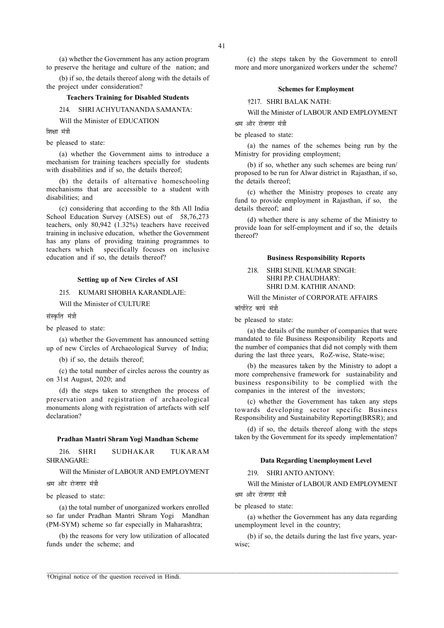(a) whether the Government has any action program to preserve the heritage and culture of the nation; and

(b) if so, the details thereof along with the details of the project under consideration?

# Teachers Training for Disabled Students

214. SHRI ACHYUTANANDA SAMANTA:

Will the Minister of EDUCATION

शिक्षा मंत्री

# be pleased to state:

(a) whether the Government aims to introduce a mechanism for training teachers specially for students with disabilities and if so, the details thereof:

(b) the details of alternative homeschooling mechanisms that are accessible to a student with disabilities; and

(c) considering that according to the 8th All India School Education Survey (AISES) out of 58,76,273 teachers, only 80,942 (1.32%) teachers have received training in inclusive education, whether the Government has any plans of providing training programmes to teachers which specifically focuses on inclusive education and if so, the details thereof?

# Setting up of New Circles of ASI

# 215. KUMARI SHOBHA KARANDLAJE:

Will the Minister of CULTURE

संस्कृति मंत्री

#### be pleased to state:

(a) whether the Government has announced setting up of new Circles of Archaeological Survey of India;

(b) if so, the details thereof;

(c) the total number of circles across the country as on 31st August, 2020; and

(d) the steps taken to strengthen the process of preservation and registration of archaeological monuments along with registration of artefacts with self declaration?

# Pradhan Mantri Shram Yogi Mandhan Scheme

216. SHRI SUDHAKAR TUKARAM SHRANGARE:

Will the Minister of LABOUR AND EMPLOYMENT

श्रम और रोजगार मंत्री

be pleased to state:

(a) the total number of unorganized workers enrolled so far under Pradhan Mantri Shram Yogi Mandhan (PM-SYM) scheme so far especially in Maharashtra;

(b) the reasons for very low utilization of allocated funds under the scheme; and

(c) the steps taken by the Government to enroll more and more unorganized workers under the scheme?

# Schemes for Employment

†217. SHRI BALAK NATH:

Will the Minister of LABOUR AND EMPLOYMENT श्रम और रोजगार मंत्री

be pleased to state:

(a) the names of the schemes being run by the Ministry for providing employment;

(b) if so, whether any such schemes are being run/ proposed to be run for Alwar district in Rajasthan, if so, the details thereof;

(c) whether the Ministry proposes to create any fund to provide employment in Rajasthan, if so, the details thereof; and

(d) whether there is any scheme of the Ministry to provide loan for self-employment and if so, the details thereof?

## Business Responsibility Reports

218. SHRI SUNIL KUMAR SINGH: SHRI P.P. CHAUDHARY: SHRI D.M. KATHIR ANAND:

Will the Minister of CORPORATE AFFAIRS

कॉर्पोरेट कार्य मंत्र<u>ी</u>

be pleased to state:

(a) the details of the number of companies that were mandated to file Business Responsibility Reports and the number of companies that did not comply with them during the last three years, RoZ-wise, State-wise;

(b) the measures taken by the Ministry to adopt a more comprehensive framework for sustainability and business responsibility to be complied with the companies in the interest of the investors;

(c) whether the Government has taken any steps towards developing sector specific Business Responsibility and Sustainability Reporting(BRSR); and

(d) if so, the details thereof along with the steps taken by the Government for its speedy implementation?

# Data Regarding Unemployment Level

219. SHRI ANTO ANTONY:

Will the Minister of LABOUR AND EMPLOYMENT श्रम और रोजगार मंत्री

be pleased to state:

(a) whether the Government has any data regarding unemployment level in the country;

(b) if so, the details during the last five years, yearwise;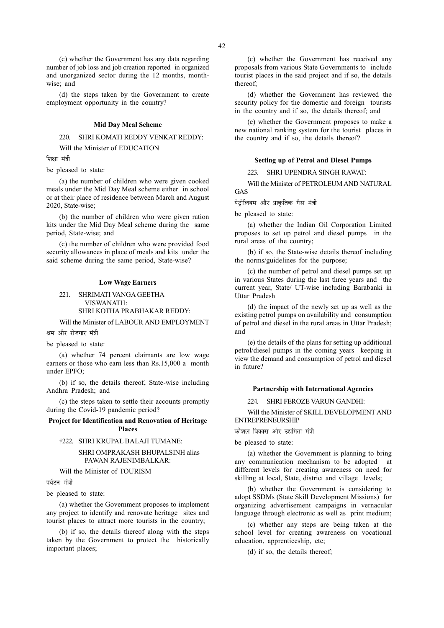(c) whether the Government has any data regarding number of job loss and job creation reported in organized and unorganized sector during the 12 months, monthwise; and

(d) the steps taken by the Government to create employment opportunity in the country?

#### Mid Day Meal Scheme

# 220. SHRI KOMATI REDDY VENKAT REDDY:

Will the Minister of EDUCATION

शिक्षा मंत्री

be pleased to state:

(a) the number of children who were given cooked meals under the Mid Day Meal scheme either in school or at their place of residence between March and August 2020, State-wise;

(b) the number of children who were given ration kits under the Mid Day Meal scheme during the same period, State-wise; and

(c) the number of children who were provided food security allowances in place of meals and kits under the said scheme during the same period, State-wise?

## Low Wage Earners

221. SHRIMATI VANGA GEETHA VISWANATH: SHRI KOTHA PRABHAKAR REDDY:

Will the Minister of LABOUR AND EMPLOYMENT श्रम और रोजगार मंत्री

be pleased to state:

(a) whether 74 percent claimants are low wage earners or those who earn less than Rs.15,000 a month under EPFO;

(b) if so, the details thereof, State-wise including Andhra Pradesh; and

(c) the steps taken to settle their accounts promptly during the Covid-19 pandemic period?

Project for Identification and Renovation of Heritage Places

#### †222. SHRI KRUPAL BALAJI TUMANE:

SHRI OMPRAKASH BHUPALSINH alias PAWAN RAJENIMBALKAR:

Will the Minister of TOURISM

पर्यटन मंत्री

be pleased to state:

(a) whether the Government proposes to implement any project to identify and renovate heritage sites and tourist places to attract more tourists in the country;

(b) if so, the details thereof along with the steps taken by the Government to protect the historically important places;

(c) whether the Government has received any proposals from various State Governments to include tourist places in the said project and if so, the details thereof;

(d) whether the Government has reviewed the security policy for the domestic and foreign tourists in the country and if so, the details thereof; and

(e) whether the Government proposes to make a new national ranking system for the tourist places in the country and if so, the details thereof?

# Setting up of Petrol and Diesel Pumps

223. SHRI UPENDRA SINGH RAWAT:

Will the Minister of PETROLEUM AND NATURAL GAS

पेट्रोलियम और प्राकृतिक गैस मंत्री

be pleased to state:

(a) whether the Indian Oil Corporation Limited proposes to set up petrol and diesel pumps in the rural areas of the country;

(b) if so, the State-wise details thereof including the norms/guidelines for the purpose;

(c) the number of petrol and diesel pumps set up in various States during the last three years and the current year, State/ UT-wise including Barabanki in Uttar Pradesh

(d) the impact of the newly set up as well as the existing petrol pumps on availability and consumption of petrol and diesel in the rural areas in Uttar Pradesh; and

(e) the details of the plans for setting up additional petrol/diesel pumps in the coming years keeping in view the demand and consumption of petrol and diesel in future?

# Partnership with International Agencies

224. SHRI FEROZE VARUN GANDHI:

Will the Minister of SKILL DEVELOPMENT AND ENTREPRENEURSHIP

कौशल विकास और उद्यमिता मंत्री

be pleased to state:

(a) whether the Government is planning to bring any communication mechanism to be adopted at different levels for creating awareness on need for skilling at local, State, district and village levels;

(b) whether the Government is considering to adopt SSDMs (State Skill Development Missions) for organizing advertisement campaigns in vernacular language through electronic as well as print medium;

(c) whether any steps are being taken at the school level for creating awareness on vocational education, apprenticeship, etc;

(d) if so, the details thereof;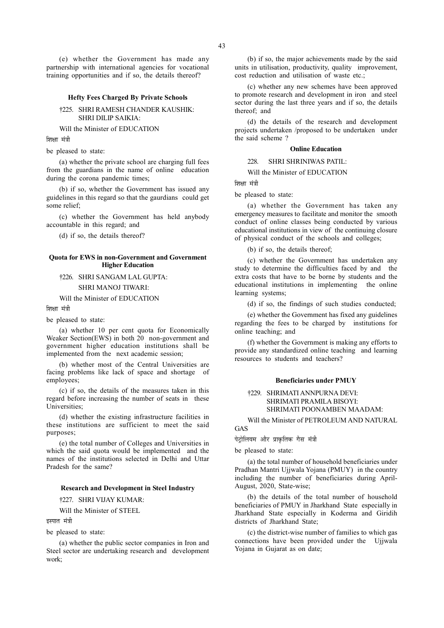#### Hefty Fees Charged By Private Schools

## †225. SHRI RAMESH CHANDER KAUSHIK: SHRI DILIP SAIKIA:

Will the Minister of EDUCATION

शिक्षा मंत्री

be pleased to state:

(a) whether the private school are charging full fees from the guardians in the name of online education during the corona pandemic times;

(b) if so, whether the Government has issued any guidelines in this regard so that the gaurdians could get some relief;

(c) whether the Government has held anybody accountable in this regard; and

(d) if so, the details thereof?

# Quota for EWS in non-Government and Government Higher Education

# †226. SHRI SANGAM LAL GUPTA:

# SHRI MANOJ TIWARI:

Will the Minister of EDUCATION

शिक्षा मंत्री

be pleased to state:

(a) whether 10 per cent quota for Economically Weaker Section(EWS) in both 20 non-government and government higher education institutions shall be implemented from the next academic session;

(b) whether most of the Central Universities are facing problems like lack of space and shortage of employees;

(c) if so, the details of the measures taken in this regard before increasing the number of seats in these Universities;

(d) whether the existing infrastructure facilities in these institutions are sufficient to meet the said purposes;

(e) the total number of Colleges and Universities in which the said quota would be implemented and the names of the institutions selected in Delhi and Uttar Pradesh for the same?

## Research and Development in Steel Industry

†227. SHRI VIJAY KUMAR:

Will the Minister of STEEL

इस्पात मंत्री

be pleased to state:

(a) whether the public sector companies in Iron and Steel sector are undertaking research and development work;

(b) if so, the major achievements made by the said units in utilisation, productivity, quality improvement, cost reduction and utilisation of waste etc.;

(c) whether any new schemes have been approved to promote research and development in iron and steel sector during the last three years and if so, the details thereof; and

(d) the details of the research and development projects undertaken /proposed to be undertaken under the said scheme ?

#### Online Education

228. SHRI SHRINIWAS PATIL:

Will the Minister of EDUCATION

शिक्षा मंत्री

be pleased to state:

(a) whether the Government has taken any emergency measures to facilitate and monitor the smooth conduct of online classes being conducted by various educational institutions in view of the continuing closure of physical conduct of the schools and colleges;

(b) if so, the details thereof;

(c) whether the Government has undertaken any study to determine the difficulties faced by and the extra costs that have to be borne by students and the educational institutions in implementing the online learning systems;

(d) if so, the findings of such studies conducted;

(e) whether the Government has fixed any guidelines regarding the fees to be charged by institutions for online teaching; and

(f) whether the Government is making any efforts to provide any standardized online teaching and learning resources to students and teachers?

# Beneficiaries under PMUY

†229. SHRIMATI ANNPURNA DEVI: SHRIMATI PRAMILA BISOYI: SHRIMATI POONAMBEN MAADAM:

Will the Minister of PETROLEUM AND NATURAL GAS

पेट्रोलियम और प्राकृतिक गैस मंत्री

be pleased to state:

(a) the total number of household beneficiaries under Pradhan Mantri Ujjwala Yojana (PMUY) in the country including the number of beneficiaries during April-August, 2020, State-wise;

(b) the details of the total number of household beneficiaries of PMUY in Jharkhand State especially in Jharkhand State especially in Koderma and Giridih districts of Jharkhand State;

(c) the district-wise number of families to which gas connections have been provided under the Ujjwala Yojana in Gujarat as on date;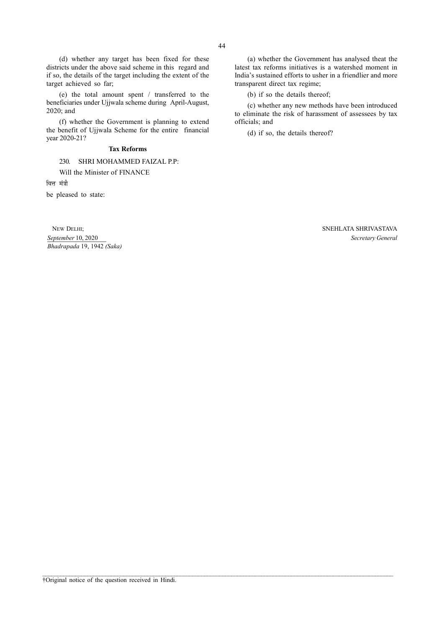(d) whether any target has been fixed for these districts under the above said scheme in this regard and if so, the details of the target including the extent of the target achieved so far;

(e) the total amount spent / transferred to the beneficiaries under Ujjwala scheme during April-August, 2020; and

(f) whether the Government is planning to extend the benefit of Ujjwala Scheme for the entire financial year 2020-21?

# Tax Reforms

230. SHRI MOHAMMED FAIZAL P.P:

Will the Minister of FINANCE

वित्त मंत्री

be pleased to state:

Bhadrapada 19, 1942 (Saka)

(a) whether the Government has analysed theat the latest tax reforms initiatives is a watershed moment in India's sustained efforts to usher in a friendlier and more transparent direct tax regime;

(b) if so the details thereof;

(c) whether any new methods have been introduced to eliminate the risk of harassment of assessees by tax officials; and

(d) if so, the details thereof?

 NEW DELHI; SNEHLATA SHRIVASTAVA September 10, 2020 Secretary General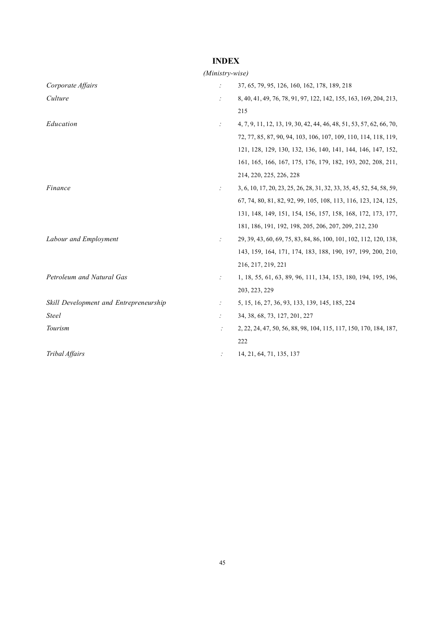# INDEX

# (Ministry-wise)

| Corporate Affairs                      |   | 37, 65, 79, 95, 126, 160, 162, 178, 189, 218                          |
|----------------------------------------|---|-----------------------------------------------------------------------|
| Culture                                |   | 8, 40, 41, 49, 76, 78, 91, 97, 122, 142, 155, 163, 169, 204, 213,     |
|                                        |   | 215                                                                   |
| Education                              | ÷ | 4, 7, 9, 11, 12, 13, 19, 30, 42, 44, 46, 48, 51, 53, 57, 62, 66, 70,  |
|                                        |   | 72, 77, 85, 87, 90, 94, 103, 106, 107, 109, 110, 114, 118, 119,       |
|                                        |   | 121, 128, 129, 130, 132, 136, 140, 141, 144, 146, 147, 152,           |
|                                        |   | 161, 165, 166, 167, 175, 176, 179, 182, 193, 202, 208, 211,           |
|                                        |   | 214, 220, 225, 226, 228                                               |
| Finance                                |   | 3, 6, 10, 17, 20, 23, 25, 26, 28, 31, 32, 33, 35, 45, 52, 54, 58, 59, |
|                                        |   | 67, 74, 80, 81, 82, 92, 99, 105, 108, 113, 116, 123, 124, 125,        |
|                                        |   | 131, 148, 149, 151, 154, 156, 157, 158, 168, 172, 173, 177,           |
|                                        |   | 181, 186, 191, 192, 198, 205, 206, 207, 209, 212, 230                 |
| Labour and Employment                  |   | 29, 39, 43, 60, 69, 75, 83, 84, 86, 100, 101, 102, 112, 120, 138,     |
|                                        |   | 143, 159, 164, 171, 174, 183, 188, 190, 197, 199, 200, 210,           |
|                                        |   | 216, 217, 219, 221                                                    |
| Petroleum and Natural Gas              |   | 1, 18, 55, 61, 63, 89, 96, 111, 134, 153, 180, 194, 195, 196,         |
|                                        |   | 203, 223, 229                                                         |
| Skill Development and Entrepreneurship |   | 5, 15, 16, 27, 36, 93, 133, 139, 145, 185, 224                        |
| Steel                                  |   | 34, 38, 68, 73, 127, 201, 227                                         |
| Tourism                                |   | 2, 22, 24, 47, 50, 56, 88, 98, 104, 115, 117, 150, 170, 184, 187,     |
|                                        |   | 222                                                                   |
| Tribal Affairs                         |   | 14, 21, 64, 71, 135, 137                                              |